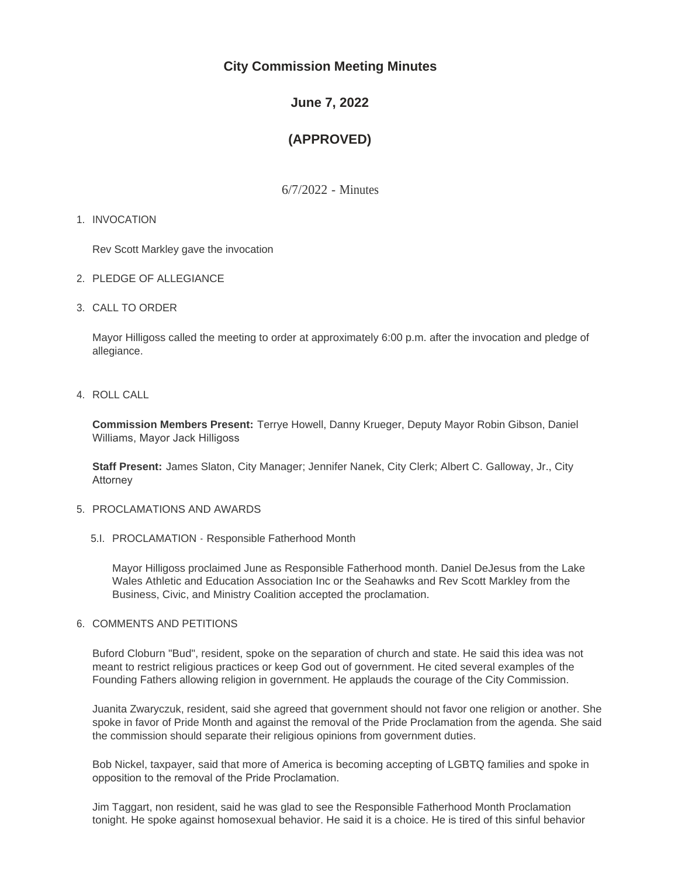# **City Commission Meeting Minutes**

# **June 7, 2022**

# **(APPROVED)**

6/7/2022 - Minutes

# 1. INVOCATION

Rev Scott Markley gave the invocation

- 2. PLEDGE OF ALLEGIANCE
- CALL TO ORDER 3.

Mayor Hilligoss called the meeting to order at approximately 6:00 p.m. after the invocation and pledge of allegiance.

# 4. ROLL CALL

**Commission Members Present:** Terrye Howell, Danny Krueger, Deputy Mayor Robin Gibson, Daniel Williams, Mayor Jack Hilligoss

**Staff Present:** James Slaton, City Manager; Jennifer Nanek, City Clerk; Albert C. Galloway, Jr., City Attorney

# 5. PROCLAMATIONS AND AWARDS

5.I. PROCLAMATION - Responsible Fatherhood Month

Mayor Hilligoss proclaimed June as Responsible Fatherhood month. Daniel DeJesus from the Lake Wales Athletic and Education Association Inc or the Seahawks and Rev Scott Markley from the Business, Civic, and Ministry Coalition accepted the proclamation.

# 6. COMMENTS AND PETITIONS

Buford Cloburn "Bud", resident, spoke on the separation of church and state. He said this idea was not meant to restrict religious practices or keep God out of government. He cited several examples of the Founding Fathers allowing religion in government. He applauds the courage of the City Commission.

Juanita Zwaryczuk, resident, said she agreed that government should not favor one religion or another. She spoke in favor of Pride Month and against the removal of the Pride Proclamation from the agenda. She said the commission should separate their religious opinions from government duties.

Bob Nickel, taxpayer, said that more of America is becoming accepting of LGBTQ families and spoke in opposition to the removal of the Pride Proclamation.

Jim Taggart, non resident, said he was glad to see the Responsible Fatherhood Month Proclamation tonight. He spoke against homosexual behavior. He said it is a choice. He is tired of this sinful behavior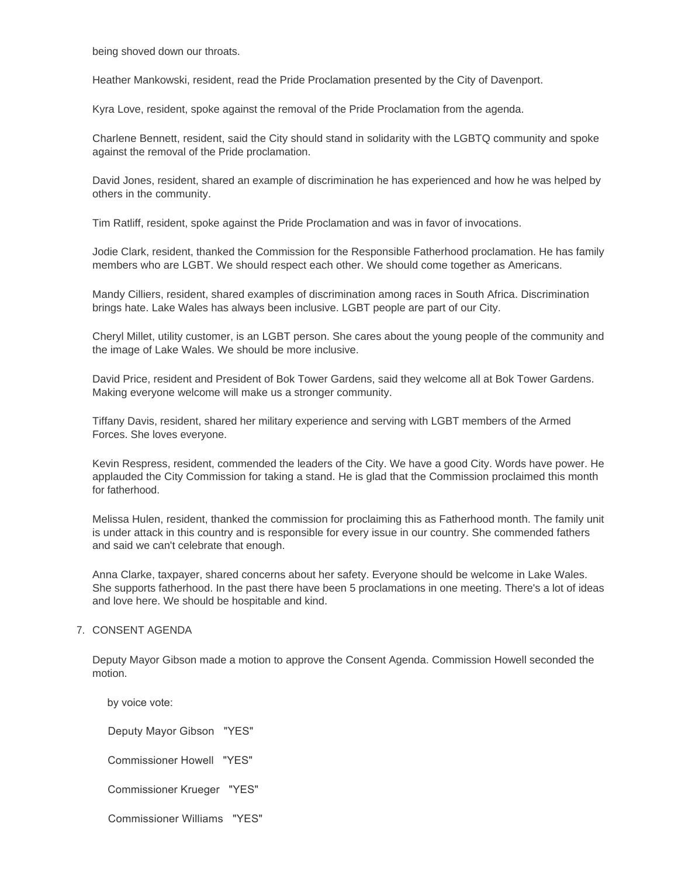being shoved down our throats.

Heather Mankowski, resident, read the Pride Proclamation presented by the City of Davenport.

Kyra Love, resident, spoke against the removal of the Pride Proclamation from the agenda.

Charlene Bennett, resident, said the City should stand in solidarity with the LGBTQ community and spoke against the removal of the Pride proclamation.

David Jones, resident, shared an example of discrimination he has experienced and how he was helped by others in the community.

Tim Ratliff, resident, spoke against the Pride Proclamation and was in favor of invocations.

Jodie Clark, resident, thanked the Commission for the Responsible Fatherhood proclamation. He has family members who are LGBT. We should respect each other. We should come together as Americans.

Mandy Cilliers, resident, shared examples of discrimination among races in South Africa. Discrimination brings hate. Lake Wales has always been inclusive. LGBT people are part of our City.

Cheryl Millet, utility customer, is an LGBT person. She cares about the young people of the community and the image of Lake Wales. We should be more inclusive.

David Price, resident and President of Bok Tower Gardens, said they welcome all at Bok Tower Gardens. Making everyone welcome will make us a stronger community.

Tiffany Davis, resident, shared her military experience and serving with LGBT members of the Armed Forces. She loves everyone.

Kevin Respress, resident, commended the leaders of the City. We have a good City. Words have power. He applauded the City Commission for taking a stand. He is glad that the Commission proclaimed this month for fatherhood.

Melissa Hulen, resident, thanked the commission for proclaiming this as Fatherhood month. The family unit is under attack in this country and is responsible for every issue in our country. She commended fathers and said we can't celebrate that enough.

Anna Clarke, taxpayer, shared concerns about her safety. Everyone should be welcome in Lake Wales. She supports fatherhood. In the past there have been 5 proclamations in one meeting. There's a lot of ideas and love here. We should be hospitable and kind.

### 7. CONSENT AGENDA

Deputy Mayor Gibson made a motion to approve the Consent Agenda. Commission Howell seconded the motion.

 by voice vote: Deputy Mayor Gibson "YES" Commissioner Howell "YES" Commissioner Krueger "YES" Commissioner Williams "YES"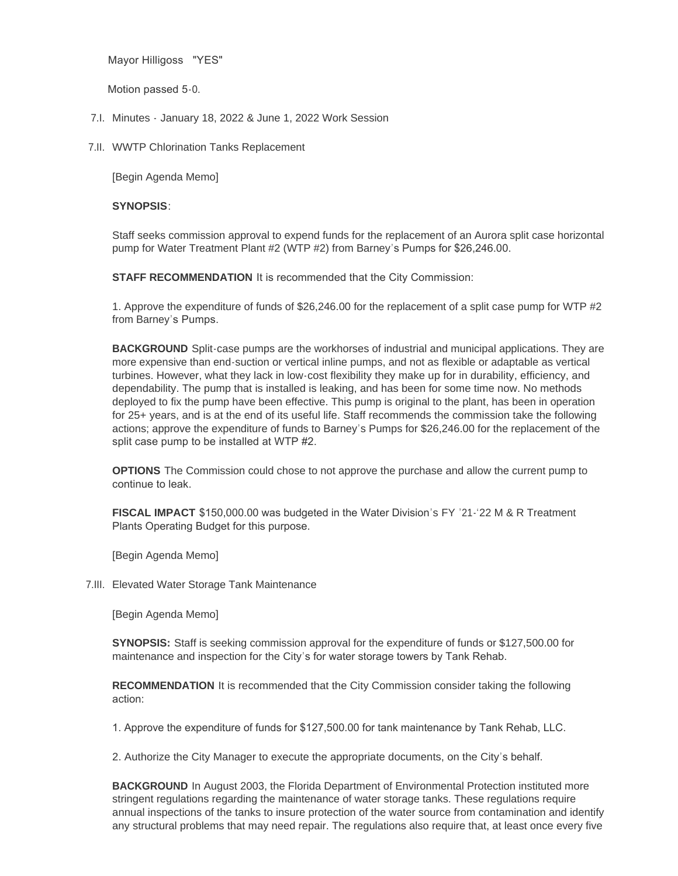Mayor Hilligoss "YES"

Motion passed 5-0.

- 7.I. Minutes January 18, 2022 & June 1, 2022 Work Session
- 7.II. WWTP Chlorination Tanks Replacement

[Begin Agenda Memo]

# **SYNOPSIS**:

Staff seeks commission approval to expend funds for the replacement of an Aurora split case horizontal pump for Water Treatment Plant #2 (WTP #2) from Barney's Pumps for \$26,246.00.

**STAFF RECOMMENDATION** It is recommended that the City Commission:

1. Approve the expenditure of funds of \$26,246.00 for the replacement of a split case pump for WTP #2 from Barney's Pumps.

**BACKGROUND** Split-case pumps are the workhorses of industrial and municipal applications. They are more expensive than end-suction or vertical inline pumps, and not as flexible or adaptable as vertical turbines. However, what they lack in low-cost flexibility they make up for in durability, efficiency, and dependability. The pump that is installed is leaking, and has been for some time now. No methods deployed to fix the pump have been effective. This pump is original to the plant, has been in operation for 25+ years, and is at the end of its useful life. Staff recommends the commission take the following actions; approve the expenditure of funds to Barney's Pumps for \$26,246.00 for the replacement of the split case pump to be installed at WTP #2.

**OPTIONS** The Commission could chose to not approve the purchase and allow the current pump to continue to leak.

**FISCAL IMPACT** \$150,000.00 was budgeted in the Water Division's FY '21-'22 M & R Treatment Plants Operating Budget for this purpose.

[Begin Agenda Memo]

Elevated Water Storage Tank Maintenance 7.III.

[Begin Agenda Memo]

**SYNOPSIS:** Staff is seeking commission approval for the expenditure of funds or \$127,500.00 for maintenance and inspection for the City's for water storage towers by Tank Rehab.

**RECOMMENDATION** It is recommended that the City Commission consider taking the following action:

1. Approve the expenditure of funds for \$127,500.00 for tank maintenance by Tank Rehab, LLC.

2. Authorize the City Manager to execute the appropriate documents, on the City's behalf.

**BACKGROUND** In August 2003, the Florida Department of Environmental Protection instituted more stringent regulations regarding the maintenance of water storage tanks. These regulations require annual inspections of the tanks to insure protection of the water source from contamination and identify any structural problems that may need repair. The regulations also require that, at least once every five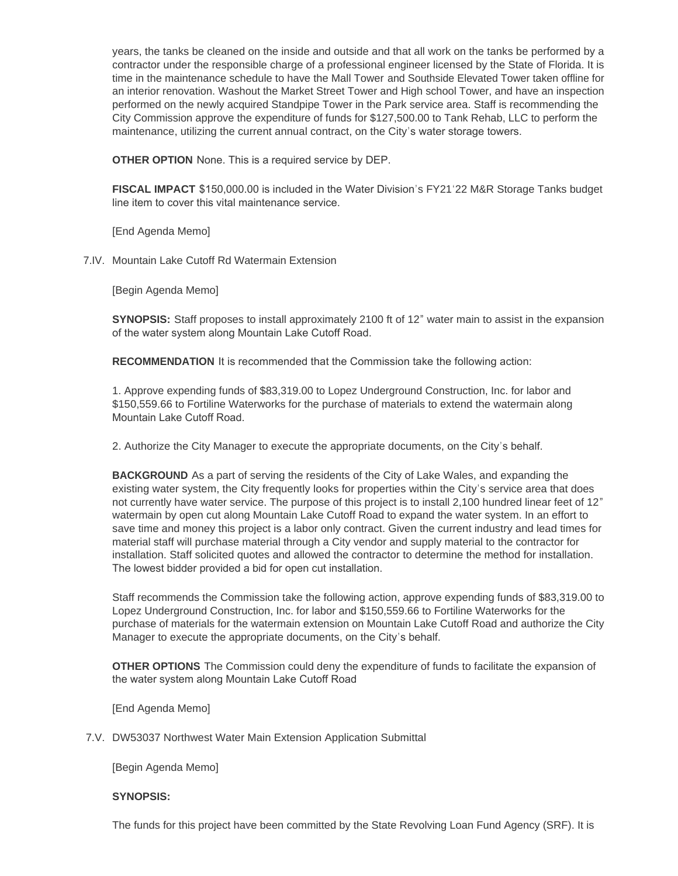any structural problems that may need repair. The regulations also require that, at least once every five years, the tanks be cleaned on the inside and outside and that all work on the tanks be performed by a contractor under the responsible charge of a professional engineer licensed by the State of Florida. It is time in the maintenance schedule to have the Mall Tower and Southside Elevated Tower taken offline for an interior renovation. Washout the Market Street Tower and High school Tower, and have an inspection performed on the newly acquired Standpipe Tower in the Park service area. Staff is recommending the City Commission approve the expenditure of funds for \$127,500.00 to Tank Rehab, LLC to perform the maintenance, utilizing the current annual contract, on the City's water storage towers.

**OTHER OPTION** None. This is a required service by DEP.

**FISCAL IMPACT** \$150,000.00 is included in the Water Division's FY21'22 M&R Storage Tanks budget line item to cover this vital maintenance service.

[End Agenda Memo]

7.IV. Mountain Lake Cutoff Rd Watermain Extension

[Begin Agenda Memo]

**SYNOPSIS:** Staff proposes to install approximately 2100 ft of 12" water main to assist in the expansion of the water system along Mountain Lake Cutoff Road.

**RECOMMENDATION** It is recommended that the Commission take the following action:

1. Approve expending funds of \$83,319.00 to Lopez Underground Construction, Inc. for labor and \$150,559.66 to Fortiline Waterworks for the purchase of materials to extend the watermain along Mountain Lake Cutoff Road.

2. Authorize the City Manager to execute the appropriate documents, on the City's behalf.

**BACKGROUND** As a part of serving the residents of the City of Lake Wales, and expanding the existing water system, the City frequently looks for properties within the City's service area that does not currently have water service. The purpose of this project is to install 2,100 hundred linear feet of 12" watermain by open cut along Mountain Lake Cutoff Road to expand the water system. In an effort to save time and money this project is a labor only contract. Given the current industry and lead times for material staff will purchase material through a City vendor and supply material to the contractor for installation. Staff solicited quotes and allowed the contractor to determine the method for installation. The lowest bidder provided a bid for open cut installation.

Staff recommends the Commission take the following action, approve expending funds of \$83,319.00 to Lopez Underground Construction, Inc. for labor and \$150,559.66 to Fortiline Waterworks for the purchase of materials for the watermain extension on Mountain Lake Cutoff Road and authorize the City Manager to execute the appropriate documents, on the City's behalf.

**OTHER OPTIONS** The Commission could deny the expenditure of funds to facilitate the expansion of the water system along Mountain Lake Cutoff Road

[End Agenda Memo]

7.V. DW53037 Northwest Water Main Extension Application Submittal

[Begin Agenda Memo]

### **SYNOPSIS:**

The funds for this project have been committed by the State Revolving Loan Fund Agency (SRF). It is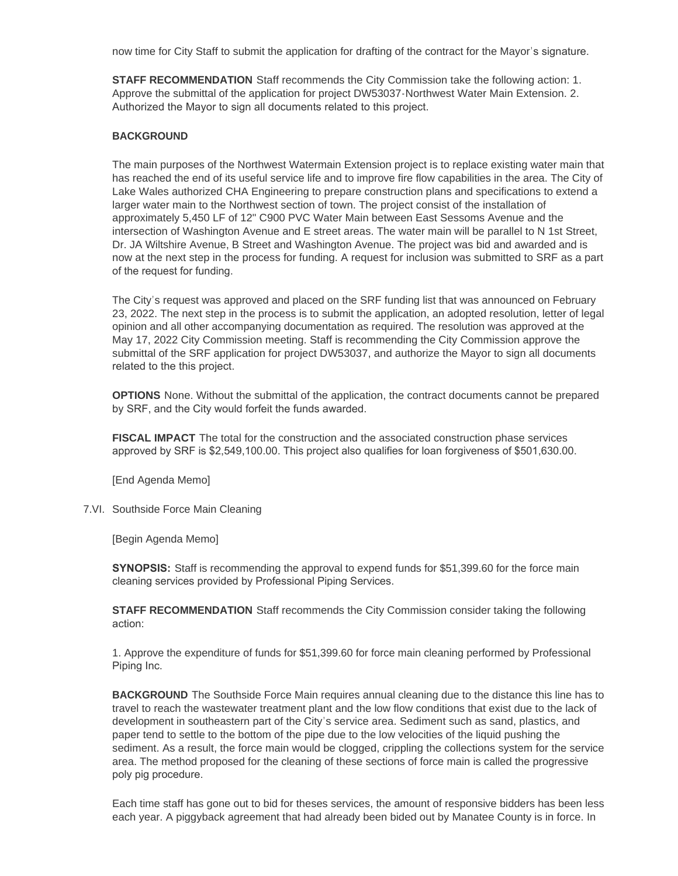now time for City Staff to submit the application for drafting of the contract for the Mayor's signature.

**STAFF RECOMMENDATION** Staff recommends the City Commission take the following action: 1. Approve the submittal of the application for project DW53037-Northwest Water Main Extension. 2. Authorized the Mayor to sign all documents related to this project.

# **BACKGROUND**

The main purposes of the Northwest Watermain Extension project is to replace existing water main that has reached the end of its useful service life and to improve fire flow capabilities in the area. The City of Lake Wales authorized CHA Engineering to prepare construction plans and specifications to extend a larger water main to the Northwest section of town. The project consist of the installation of approximately 5,450 LF of 12" C900 PVC Water Main between East Sessoms Avenue and the intersection of Washington Avenue and E street areas. The water main will be parallel to N 1st Street, Dr. JA Wiltshire Avenue, B Street and Washington Avenue. The project was bid and awarded and is now at the next step in the process for funding. A request for inclusion was submitted to SRF as a part of the request for funding.

The City's request was approved and placed on the SRF funding list that was announced on February 23, 2022. The next step in the process is to submit the application, an adopted resolution, letter of legal opinion and all other accompanying documentation as required. The resolution was approved at the May 17, 2022 City Commission meeting. Staff is recommending the City Commission approve the submittal of the SRF application for project DW53037, and authorize the Mayor to sign all documents related to the this project.

**OPTIONS** None. Without the submittal of the application, the contract documents cannot be prepared by SRF, and the City would forfeit the funds awarded.

**FISCAL IMPACT** The total for the construction and the associated construction phase services approved by SRF is \$2,549,100.00. This project also qualifies for loan forgiveness of \$501,630.00.

[End Agenda Memo]

7.VI. Southside Force Main Cleaning

[Begin Agenda Memo]

**SYNOPSIS:** Staff is recommending the approval to expend funds for \$51,399.60 for the force main cleaning services provided by Professional Piping Services.

**STAFF RECOMMENDATION** Staff recommends the City Commission consider taking the following action:

1. Approve the expenditure of funds for \$51,399.60 for force main cleaning performed by Professional Piping Inc.

**BACKGROUND** The Southside Force Main requires annual cleaning due to the distance this line has to travel to reach the wastewater treatment plant and the low flow conditions that exist due to the lack of development in southeastern part of the City's service area. Sediment such as sand, plastics, and paper tend to settle to the bottom of the pipe due to the low velocities of the liquid pushing the sediment. As a result, the force main would be clogged, crippling the collections system for the service area. The method proposed for the cleaning of these sections of force main is called the progressive poly pig procedure.

Each time staff has gone out to bid for theses services, the amount of responsive bidders has been less each year. A piggyback agreement that had already been bided out by Manatee County is in force. In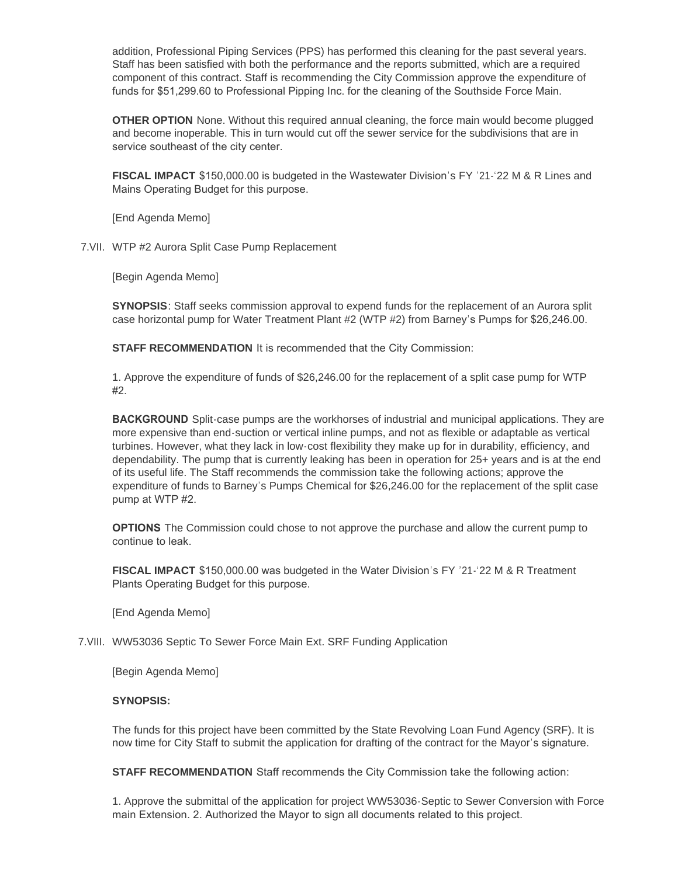addition, Professional Piping Services (PPS) has performed this cleaning for the past several years. Staff has been satisfied with both the performance and the reports submitted, which are a required component of this contract. Staff is recommending the City Commission approve the expenditure of funds for \$51,299.60 to Professional Pipping Inc. for the cleaning of the Southside Force Main.

**OTHER OPTION** None. Without this required annual cleaning, the force main would become plugged and become inoperable. This in turn would cut off the sewer service for the subdivisions that are in service southeast of the city center.

**FISCAL IMPACT** \$150,000.00 is budgeted in the Wastewater Division's FY '21-'22 M & R Lines and Mains Operating Budget for this purpose.

[End Agenda Memo]

7. VII. WTP #2 Aurora Split Case Pump Replacement

[Begin Agenda Memo]

**SYNOPSIS**: Staff seeks commission approval to expend funds for the replacement of an Aurora split case horizontal pump for Water Treatment Plant #2 (WTP #2) from Barney's Pumps for \$26,246.00.

**STAFF RECOMMENDATION** It is recommended that the City Commission:

1. Approve the expenditure of funds of \$26,246.00 for the replacement of a split case pump for WTP #2.

**BACKGROUND** Split-case pumps are the workhorses of industrial and municipal applications. They are more expensive than end-suction or vertical inline pumps, and not as flexible or adaptable as vertical turbines. However, what they lack in low-cost flexibility they make up for in durability, efficiency, and dependability. The pump that is currently leaking has been in operation for 25+ years and is at the end of its useful life. The Staff recommends the commission take the following actions; approve the expenditure of funds to Barney's Pumps Chemical for \$26,246.00 for the replacement of the split case pump at WTP #2.

**OPTIONS** The Commission could chose to not approve the purchase and allow the current pump to continue to leak.

**FISCAL IMPACT** \$150,000.00 was budgeted in the Water Division's FY '21-'22 M & R Treatment Plants Operating Budget for this purpose.

[End Agenda Memo]

# 7. VIII. WW53036 Septic To Sewer Force Main Ext. SRF Funding Application

[Begin Agenda Memo]

### **SYNOPSIS:**

The funds for this project have been committed by the State Revolving Loan Fund Agency (SRF). It is now time for City Staff to submit the application for drafting of the contract for the Mayor's signature.

**STAFF RECOMMENDATION** Staff recommends the City Commission take the following action:

1. Approve the submittal of the application for project WW53036-Septic to Sewer Conversion with Force main Extension. 2. Authorized the Mayor to sign all documents related to this project.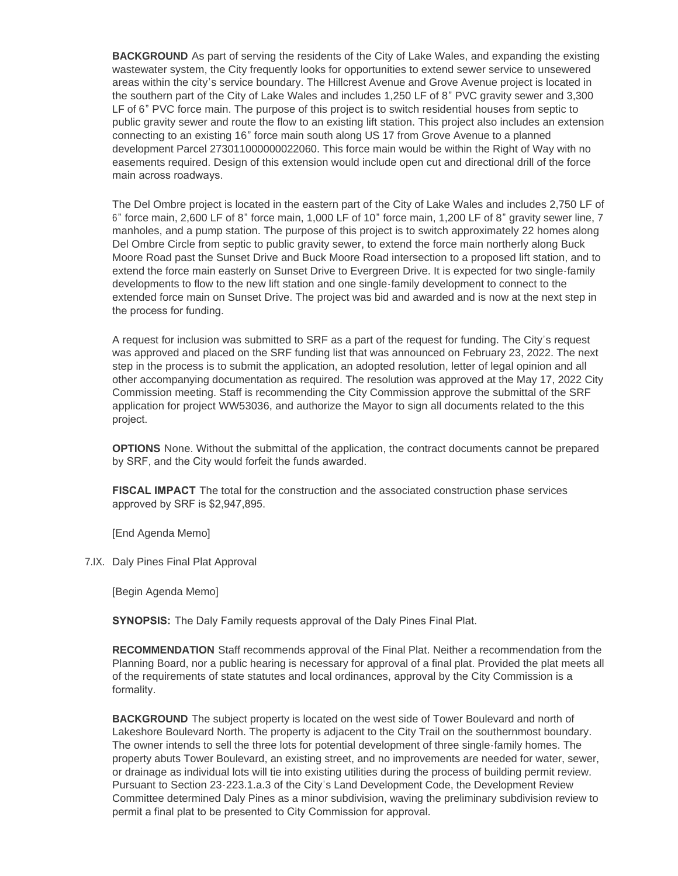**BACKGROUND** As part of serving the residents of the City of Lake Wales, and expanding the existing wastewater system, the City frequently looks for opportunities to extend sewer service to unsewered areas within the city's service boundary. The Hillcrest Avenue and Grove Avenue project is located in the southern part of the City of Lake Wales and includes 1,250 LF of 8" PVC gravity sewer and 3,300 LF of 6" PVC force main. The purpose of this project is to switch residential houses from septic to public gravity sewer and route the flow to an existing lift station. This project also includes an extension connecting to an existing 16" force main south along US 17 from Grove Avenue to a planned development Parcel 273011000000022060. This force main would be within the Right of Way with no easements required. Design of this extension would include open cut and directional drill of the force main across roadways.

The Del Ombre project is located in the eastern part of the City of Lake Wales and includes 2,750 LF of 6" force main, 2,600 LF of 8" force main, 1,000 LF of 10" force main, 1,200 LF of 8" gravity sewer line, 7 manholes, and a pump station. The purpose of this project is to switch approximately 22 homes along Del Ombre Circle from septic to public gravity sewer, to extend the force main northerly along Buck Moore Road past the Sunset Drive and Buck Moore Road intersection to a proposed lift station, and to extend the force main easterly on Sunset Drive to Evergreen Drive. It is expected for two single-family developments to flow to the new lift station and one single-family development to connect to the extended force main on Sunset Drive. The project was bid and awarded and is now at the next step in the process for funding.

A request for inclusion was submitted to SRF as a part of the request for funding. The City's request was approved and placed on the SRF funding list that was announced on February 23, 2022. The next step in the process is to submit the application, an adopted resolution, letter of legal opinion and all other accompanying documentation as required. The resolution was approved at the May 17, 2022 City Commission meeting. Staff is recommending the City Commission approve the submittal of the SRF application for project WW53036, and authorize the Mayor to sign all documents related to the this project.

**OPTIONS** None. Without the submittal of the application, the contract documents cannot be prepared by SRF, and the City would forfeit the funds awarded.

**FISCAL IMPACT** The total for the construction and the associated construction phase services approved by SRF is \$2,947,895.

[End Agenda Memo]

7.IX. Daly Pines Final Plat Approval

[Begin Agenda Memo]

**SYNOPSIS:** The Daly Family requests approval of the Daly Pines Final Plat.

**RECOMMENDATION** Staff recommends approval of the Final Plat. Neither a recommendation from the Planning Board, nor a public hearing is necessary for approval of a final plat. Provided the plat meets all of the requirements of state statutes and local ordinances, approval by the City Commission is a formality.

**BACKGROUND** The subject property is located on the west side of Tower Boulevard and north of Lakeshore Boulevard North. The property is adjacent to the City Trail on the southernmost boundary. The owner intends to sell the three lots for potential development of three single-family homes. The property abuts Tower Boulevard, an existing street, and no improvements are needed for water, sewer, or drainage as individual lots will tie into existing utilities during the process of building permit review. Pursuant to Section 23-223.1.a.3 of the City's Land Development Code, the Development Review Committee determined Daly Pines as a minor subdivision, waving the preliminary subdivision review to permit a final plat to be presented to City Commission for approval.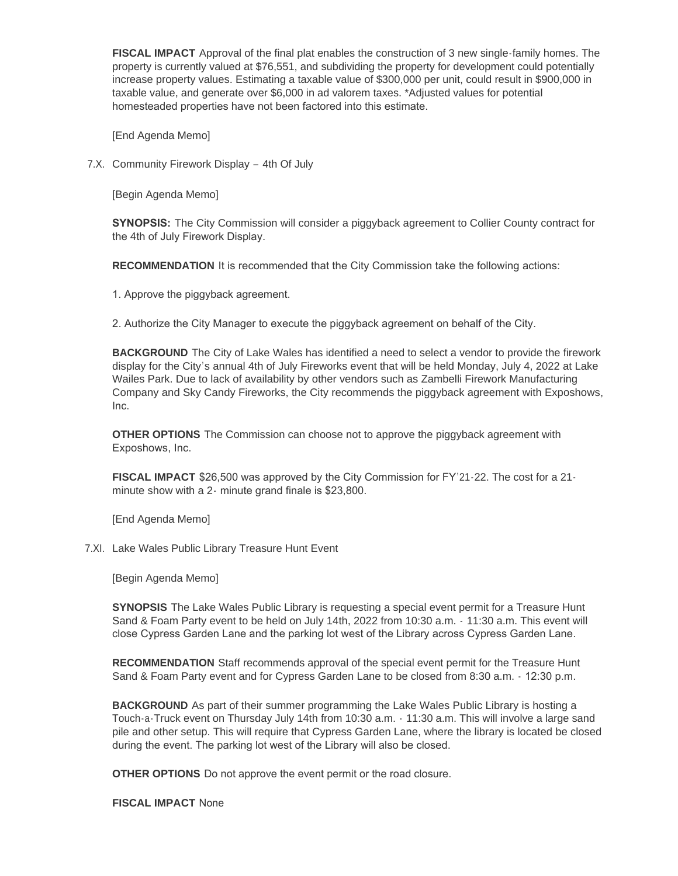**FISCAL IMPACT** Approval of the final plat enables the construction of 3 new single-family homes. The property is currently valued at \$76,551, and subdividing the property for development could potentially increase property values. Estimating a taxable value of \$300,000 per unit, could result in \$900,000 in taxable value, and generate over \$6,000 in ad valorem taxes. \*Adjusted values for potential homesteaded properties have not been factored into this estimate.

[End Agenda Memo]

7.X. Community Firework Display - 4th Of July

[Begin Agenda Memo]

**SYNOPSIS:** The City Commission will consider a piggyback agreement to Collier County contract for the 4th of July Firework Display.

**RECOMMENDATION** It is recommended that the City Commission take the following actions:

1. Approve the piggyback agreement.

2. Authorize the City Manager to execute the piggyback agreement on behalf of the City.

**BACKGROUND** The City of Lake Wales has identified a need to select a vendor to provide the firework display for the City's annual 4th of July Fireworks event that will be held Monday, July 4, 2022 at Lake Wailes Park. Due to lack of availability by other vendors such as Zambelli Firework Manufacturing Company and Sky Candy Fireworks, the City recommends the piggyback agreement with Exposhows, Inc.

**OTHER OPTIONS** The Commission can choose not to approve the piggyback agreement with Exposhows, Inc.

**FISCAL IMPACT** \$26,500 was approved by the City Commission for FY'21-22. The cost for a 21 minute show with a 2- minute grand finale is \$23,800.

[End Agenda Memo]

7.XI. Lake Wales Public Library Treasure Hunt Event

[Begin Agenda Memo]

**SYNOPSIS** The Lake Wales Public Library is requesting a special event permit for a Treasure Hunt Sand & Foam Party event to be held on July 14th, 2022 from 10:30 a.m. - 11:30 a.m. This event will close Cypress Garden Lane and the parking lot west of the Library across Cypress Garden Lane.

**RECOMMENDATION** Staff recommends approval of the special event permit for the Treasure Hunt Sand & Foam Party event and for Cypress Garden Lane to be closed from 8:30 a.m. - 12:30 p.m.

**BACKGROUND** As part of their summer programming the Lake Wales Public Library is hosting a Touch-a-Truck event on Thursday July 14th from 10:30 a.m. - 11:30 a.m. This will involve a large sand pile and other setup. This will require that Cypress Garden Lane, where the library is located be closed during the event. The parking lot west of the Library will also be closed.

**OTHER OPTIONS** Do not approve the event permit or the road closure.

**FISCAL IMPACT** None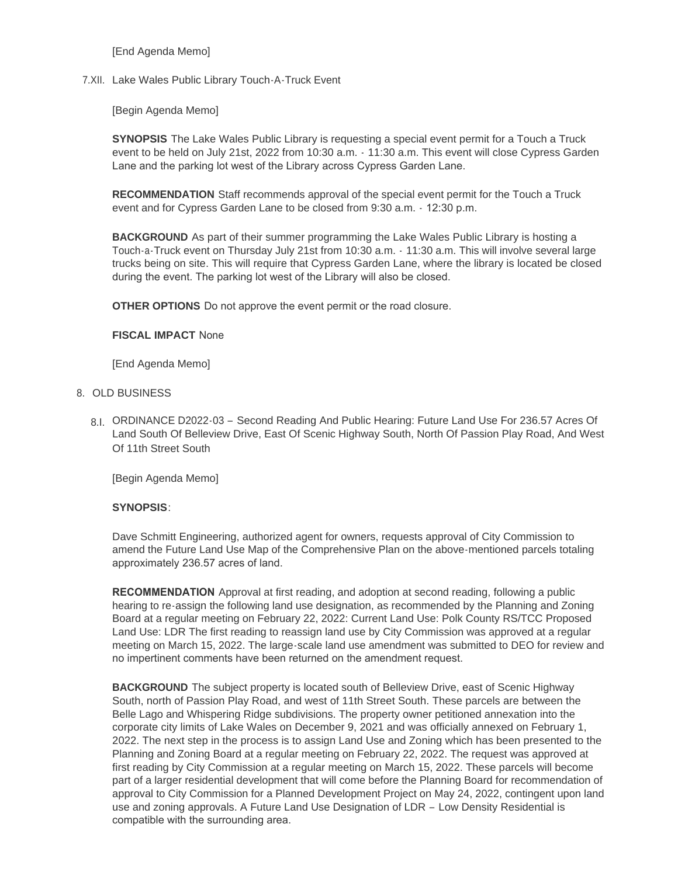[End Agenda Memo]

7.XII. Lake Wales Public Library Touch-A-Truck Event

[Begin Agenda Memo]

**SYNOPSIS** The Lake Wales Public Library is requesting a special event permit for a Touch a Truck event to be held on July 21st, 2022 from 10:30 a.m. - 11:30 a.m. This event will close Cypress Garden Lane and the parking lot west of the Library across Cypress Garden Lane.

**RECOMMENDATION** Staff recommends approval of the special event permit for the Touch a Truck event and for Cypress Garden Lane to be closed from 9:30 a.m. - 12:30 p.m.

**BACKGROUND** As part of their summer programming the Lake Wales Public Library is hosting a Touch-a-Truck event on Thursday July 21st from 10:30 a.m. - 11:30 a.m. This will involve several large trucks being on site. This will require that Cypress Garden Lane, where the library is located be closed during the event. The parking lot west of the Library will also be closed.

**OTHER OPTIONS** Do not approve the event permit or the road closure.

# **FISCAL IMPACT** None

[End Agenda Memo]

# 8. OLD BUSINESS

8.I. ORDINANCE D2022-03 - Second Reading And Public Hearing: Future Land Use For 236.57 Acres Of Land South Of Belleview Drive, East Of Scenic Highway South, North Of Passion Play Road, And West Of 11th Street South

[Begin Agenda Memo]

# **SYNOPSIS**:

Dave Schmitt Engineering, authorized agent for owners, requests approval of City Commission to amend the Future Land Use Map of the Comprehensive Plan on the above-mentioned parcels totaling approximately 236.57 acres of land.

**RECOMMENDATION** Approval at first reading, and adoption at second reading, following a public hearing to re-assign the following land use designation, as recommended by the Planning and Zoning Board at a regular meeting on February 22, 2022: Current Land Use: Polk County RS/TCC Proposed Land Use: LDR The first reading to reassign land use by City Commission was approved at a regular meeting on March 15, 2022. The large-scale land use amendment was submitted to DEO for review and no impertinent comments have been returned on the amendment request.

**BACKGROUND** The subject property is located south of Belleview Drive, east of Scenic Highway South, north of Passion Play Road, and west of 11th Street South. These parcels are between the Belle Lago and Whispering Ridge subdivisions. The property owner petitioned annexation into the corporate city limits of Lake Wales on December 9, 2021 and was officially annexed on February 1, 2022. The next step in the process is to assign Land Use and Zoning which has been presented to the Planning and Zoning Board at a regular meeting on February 22, 2022. The request was approved at first reading by City Commission at a regular meeting on March 15, 2022. These parcels will become part of a larger residential development that will come before the Planning Board for recommendation of approval to City Commission for a Planned Development Project on May 24, 2022, contingent upon land use and zoning approvals. A Future Land Use Designation of LDR – Low Density Residential is compatible with the surrounding area.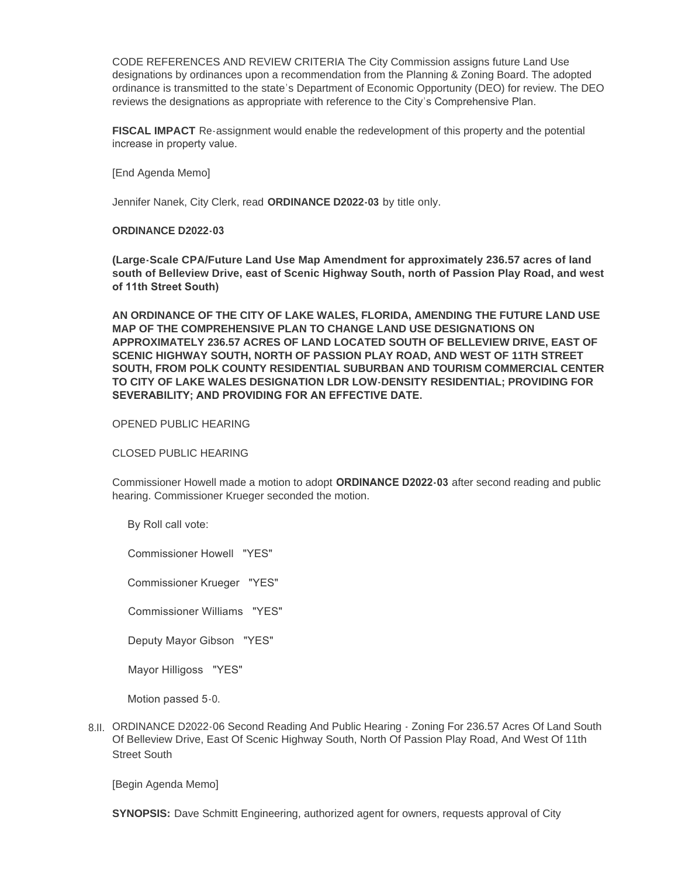CODE REFERENCES AND REVIEW CRITERIA The City Commission assigns future Land Use designations by ordinances upon a recommendation from the Planning & Zoning Board. The adopted ordinance is transmitted to the state's Department of Economic Opportunity (DEO) for review. The DEO reviews the designations as appropriate with reference to the City's Comprehensive Plan.

**FISCAL IMPACT** Re-assignment would enable the redevelopment of this property and the potential increase in property value.

[End Agenda Memo]

Jennifer Nanek, City Clerk, read **ORDINANCE D2022-03** by title only.

### **ORDINANCE D2022-03**

**(Large-Scale CPA/Future Land Use Map Amendment for approximately 236.57 acres of land south of Belleview Drive, east of Scenic Highway South, north of Passion Play Road, and west of 11th Street South)** 

**AN ORDINANCE OF THE CITY OF LAKE WALES, FLORIDA, AMENDING THE FUTURE LAND USE MAP OF THE COMPREHENSIVE PLAN TO CHANGE LAND USE DESIGNATIONS ON APPROXIMATELY 236.57 ACRES OF LAND LOCATED SOUTH OF BELLEVIEW DRIVE, EAST OF SCENIC HIGHWAY SOUTH, NORTH OF PASSION PLAY ROAD, AND WEST OF 11TH STREET SOUTH, FROM POLK COUNTY RESIDENTIAL SUBURBAN AND TOURISM COMMERCIAL CENTER TO CITY OF LAKE WALES DESIGNATION LDR LOW-DENSITY RESIDENTIAL; PROVIDING FOR SEVERABILITY; AND PROVIDING FOR AN EFFECTIVE DATE.** 

#### OPENED PUBLIC HEARING

### CLOSED PUBLIC HEARING

Commissioner Howell made a motion to adopt **ORDINANCE D2022-03** after second reading and public hearing. Commissioner Krueger seconded the motion.

By Roll call vote:

Commissioner Howell "YES"

Commissioner Krueger "YES"

Commissioner Williams "YES"

Deputy Mayor Gibson "YES"

Mayor Hilligoss "YES"

Motion passed 5-0.

8.II. ORDINANCE D2022-06 Second Reading And Public Hearing - Zoning For 236.57 Acres Of Land South Of Belleview Drive, East Of Scenic Highway South, North Of Passion Play Road, And West Of 11th Street South

[Begin Agenda Memo]

**SYNOPSIS:** Dave Schmitt Engineering, authorized agent for owners, requests approval of City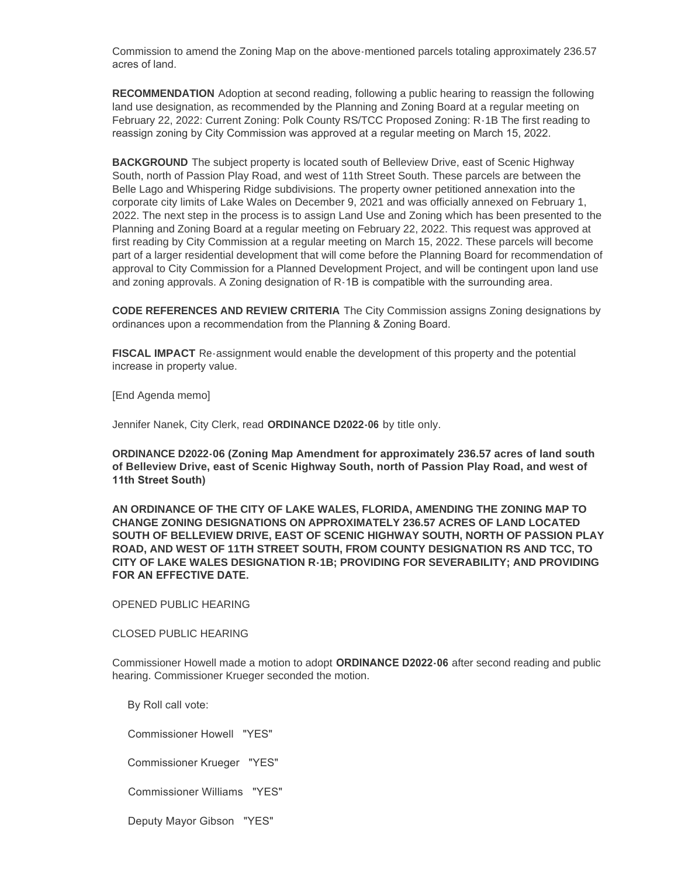Commission to amend the Zoning Map on the above-mentioned parcels totaling approximately 236.57 acres of land.

**RECOMMENDATION** Adoption at second reading, following a public hearing to reassign the following land use designation, as recommended by the Planning and Zoning Board at a regular meeting on February 22, 2022: Current Zoning: Polk County RS/TCC Proposed Zoning: R-1B The first reading to reassign zoning by City Commission was approved at a regular meeting on March 15, 2022.

**BACKGROUND** The subject property is located south of Belleview Drive, east of Scenic Highway South, north of Passion Play Road, and west of 11th Street South. These parcels are between the Belle Lago and Whispering Ridge subdivisions. The property owner petitioned annexation into the corporate city limits of Lake Wales on December 9, 2021 and was officially annexed on February 1, 2022. The next step in the process is to assign Land Use and Zoning which has been presented to the Planning and Zoning Board at a regular meeting on February 22, 2022. This request was approved at first reading by City Commission at a regular meeting on March 15, 2022. These parcels will become part of a larger residential development that will come before the Planning Board for recommendation of approval to City Commission for a Planned Development Project, and will be contingent upon land use and zoning approvals. A Zoning designation of R-1B is compatible with the surrounding area.

**CODE REFERENCES AND REVIEW CRITERIA** The City Commission assigns Zoning designations by ordinances upon a recommendation from the Planning & Zoning Board.

**FISCAL IMPACT** Re-assignment would enable the development of this property and the potential increase in property value.

[End Agenda memo]

Jennifer Nanek, City Clerk, read **ORDINANCE D2022-06** by title only.

**ORDINANCE D2022-06 (Zoning Map Amendment for approximately 236.57 acres of land south of Belleview Drive, east of Scenic Highway South, north of Passion Play Road, and west of 11th Street South)** 

**AN ORDINANCE OF THE CITY OF LAKE WALES, FLORIDA, AMENDING THE ZONING MAP TO CHANGE ZONING DESIGNATIONS ON APPROXIMATELY 236.57 ACRES OF LAND LOCATED SOUTH OF BELLEVIEW DRIVE, EAST OF SCENIC HIGHWAY SOUTH, NORTH OF PASSION PLAY ROAD, AND WEST OF 11TH STREET SOUTH, FROM COUNTY DESIGNATION RS AND TCC, TO CITY OF LAKE WALES DESIGNATION R-1B; PROVIDING FOR SEVERABILITY; AND PROVIDING FOR AN EFFECTIVE DATE.** 

OPENED PUBLIC HEARING

CLOSED PUBLIC HEARING

Commissioner Howell made a motion to adopt **ORDINANCE D2022-06** after second reading and public hearing. Commissioner Krueger seconded the motion.

By Roll call vote:

Commissioner Howell "YES"

Commissioner Krueger "YES"

Commissioner Williams "YES"

Deputy Mayor Gibson "YES"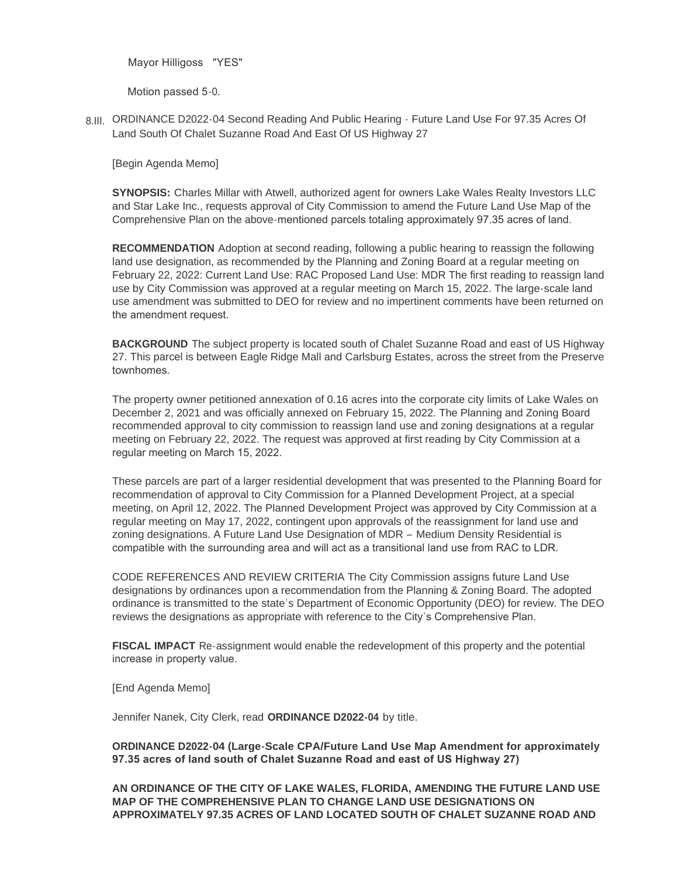Mayor Hilligoss "YES"

Motion passed 5-0.

8.III. ORDINANCE D2022-04 Second Reading And Public Hearing - Future Land Use For 97.35 Acres Of Land South Of Chalet Suzanne Road And East Of US Highway 27

[Begin Agenda Memo]

**SYNOPSIS:** Charles Millar with Atwell, authorized agent for owners Lake Wales Realty Investors LLC and Star Lake Inc., requests approval of City Commission to amend the Future Land Use Map of the Comprehensive Plan on the above-mentioned parcels totaling approximately 97.35 acres of land.

**RECOMMENDATION** Adoption at second reading, following a public hearing to reassign the following land use designation, as recommended by the Planning and Zoning Board at a regular meeting on February 22, 2022: Current Land Use: RAC Proposed Land Use: MDR The first reading to reassign land use by City Commission was approved at a regular meeting on March 15, 2022. The large-scale land use amendment was submitted to DEO for review and no impertinent comments have been returned on the amendment request.

**BACKGROUND** The subject property is located south of Chalet Suzanne Road and east of US Highway 27. This parcel is between Eagle Ridge Mall and Carlsburg Estates, across the street from the Preserve townhomes.

The property owner petitioned annexation of 0.16 acres into the corporate city limits of Lake Wales on December 2, 2021 and was officially annexed on February 15, 2022. The Planning and Zoning Board recommended approval to city commission to reassign land use and zoning designations at a regular meeting on February 22, 2022. The request was approved at first reading by City Commission at a regular meeting on March 15, 2022.

These parcels are part of a larger residential development that was presented to the Planning Board for recommendation of approval to City Commission for a Planned Development Project, at a special meeting, on April 12, 2022. The Planned Development Project was approved by City Commission at a regular meeting on May 17, 2022, contingent upon approvals of the reassignment for land use and zoning designations. A Future Land Use Designation of MDR – Medium Density Residential is compatible with the surrounding area and will act as a transitional land use from RAC to LDR.

CODE REFERENCES AND REVIEW CRITERIA The City Commission assigns future Land Use designations by ordinances upon a recommendation from the Planning & Zoning Board. The adopted ordinance is transmitted to the state's Department of Economic Opportunity (DEO) for review. The DEO reviews the designations as appropriate with reference to the City's Comprehensive Plan.

**FISCAL IMPACT** Re-assignment would enable the redevelopment of this property and the potential increase in property value.

[End Agenda Memo]

Jennifer Nanek, City Clerk, read **ORDINANCE D2022-04** by title.

**ORDINANCE D2022-04 (Large-Scale CPA/Future Land Use Map Amendment for approximately 97.35 acres of land south of Chalet Suzanne Road and east of US Highway 27)** 

**AN ORDINANCE OF THE CITY OF LAKE WALES, FLORIDA, AMENDING THE FUTURE LAND USE MAP OF THE COMPREHENSIVE PLAN TO CHANGE LAND USE DESIGNATIONS ON APPROXIMATELY 97.35 ACRES OF LAND LOCATED SOUTH OF CHALET SUZANNE ROAD AND**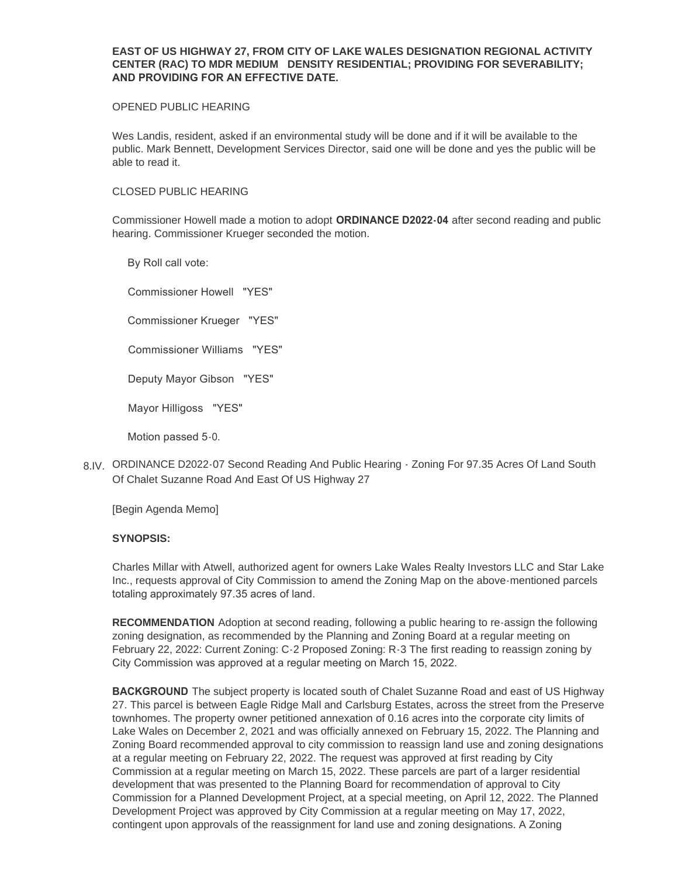# **EAST OF US HIGHWAY 27, FROM CITY OF LAKE WALES DESIGNATION REGIONAL ACTIVITY CENTER (RAC) TO MDR MEDIUM DENSITY RESIDENTIAL; PROVIDING FOR SEVERABILITY; AND PROVIDING FOR AN EFFECTIVE DATE.**

### OPENED PUBLIC HEARING

Wes Landis, resident, asked if an environmental study will be done and if it will be available to the public. Mark Bennett, Development Services Director, said one will be done and yes the public will be able to read it.

# CLOSED PUBLIC HEARING

Commissioner Howell made a motion to adopt **ORDINANCE D2022-04** after second reading and public hearing. Commissioner Krueger seconded the motion.

 By Roll call vote: Commissioner Howell "YES"

Commissioner Krueger "YES"

Commissioner Williams "YES"

Deputy Mayor Gibson "YES"

Mayor Hilligoss "YES"

Motion passed 5-0.

8.IV. ORDINANCE D2022-07 Second Reading And Public Hearing - Zoning For 97.35 Acres Of Land South Of Chalet Suzanne Road And East Of US Highway 27

[Begin Agenda Memo]

### **SYNOPSIS:**

Charles Millar with Atwell, authorized agent for owners Lake Wales Realty Investors LLC and Star Lake Inc., requests approval of City Commission to amend the Zoning Map on the above-mentioned parcels totaling approximately 97.35 acres of land.

**RECOMMENDATION** Adoption at second reading, following a public hearing to re-assign the following zoning designation, as recommended by the Planning and Zoning Board at a regular meeting on February 22, 2022: Current Zoning: C-2 Proposed Zoning: R-3 The first reading to reassign zoning by City Commission was approved at a regular meeting on March 15, 2022.

**BACKGROUND** The subject property is located south of Chalet Suzanne Road and east of US Highway 27. This parcel is between Eagle Ridge Mall and Carlsburg Estates, across the street from the Preserve townhomes. The property owner petitioned annexation of 0.16 acres into the corporate city limits of Lake Wales on December 2, 2021 and was officially annexed on February 15, 2022. The Planning and Zoning Board recommended approval to city commission to reassign land use and zoning designations at a regular meeting on February 22, 2022. The request was approved at first reading by City Commission at a regular meeting on March 15, 2022. These parcels are part of a larger residential development that was presented to the Planning Board for recommendation of approval to City Commission for a Planned Development Project, at a special meeting, on April 12, 2022. The Planned Development Project was approved by City Commission at a regular meeting on May 17, 2022, contingent upon approvals of the reassignment for land use and zoning designations. A Zoning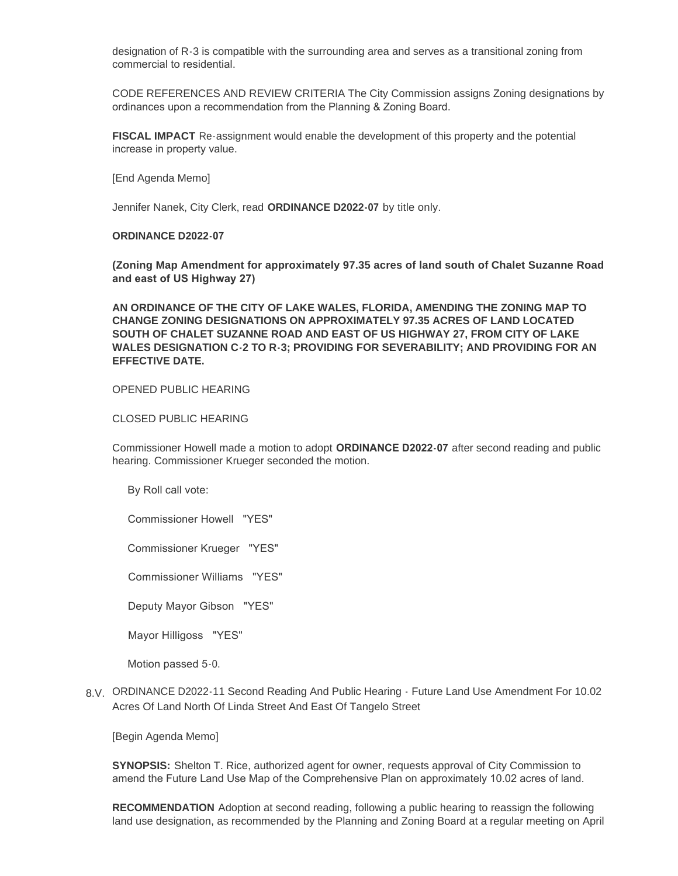designation of R-3 is compatible with the surrounding area and serves as a transitional zoning from commercial to residential.

CODE REFERENCES AND REVIEW CRITERIA The City Commission assigns Zoning designations by ordinances upon a recommendation from the Planning & Zoning Board.

**FISCAL IMPACT** Re-assignment would enable the development of this property and the potential increase in property value.

[End Agenda Memo]

Jennifer Nanek, City Clerk, read **ORDINANCE D2022-07** by title only.

#### **ORDINANCE D2022-07**

**(Zoning Map Amendment for approximately 97.35 acres of land south of Chalet Suzanne Road and east of US Highway 27)** 

**AN ORDINANCE OF THE CITY OF LAKE WALES, FLORIDA, AMENDING THE ZONING MAP TO CHANGE ZONING DESIGNATIONS ON APPROXIMATELY 97.35 ACRES OF LAND LOCATED SOUTH OF CHALET SUZANNE ROAD AND EAST OF US HIGHWAY 27, FROM CITY OF LAKE WALES DESIGNATION C-2 TO R-3; PROVIDING FOR SEVERABILITY; AND PROVIDING FOR AN EFFECTIVE DATE.**

# OPENED PUBLIC HEARING

CLOSED PUBLIC HEARING

Commissioner Howell made a motion to adopt **ORDINANCE D2022-07** after second reading and public hearing. Commissioner Krueger seconded the motion.

By Roll call vote:

Commissioner Howell "YES"

Commissioner Krueger "YES"

Commissioner Williams "YES"

Deputy Mayor Gibson "YES"

Mayor Hilligoss "YES"

Motion passed 5-0.

ORDINANCE D2022-11 Second Reading And Public Hearing - Future Land Use Amendment For 10.02 8.V. Acres Of Land North Of Linda Street And East Of Tangelo Street

[Begin Agenda Memo]

**SYNOPSIS:** Shelton T. Rice, authorized agent for owner, requests approval of City Commission to amend the Future Land Use Map of the Comprehensive Plan on approximately 10.02 acres of land.

**RECOMMENDATION** Adoption at second reading, following a public hearing to reassign the following land use designation, as recommended by the Planning and Zoning Board at a regular meeting on April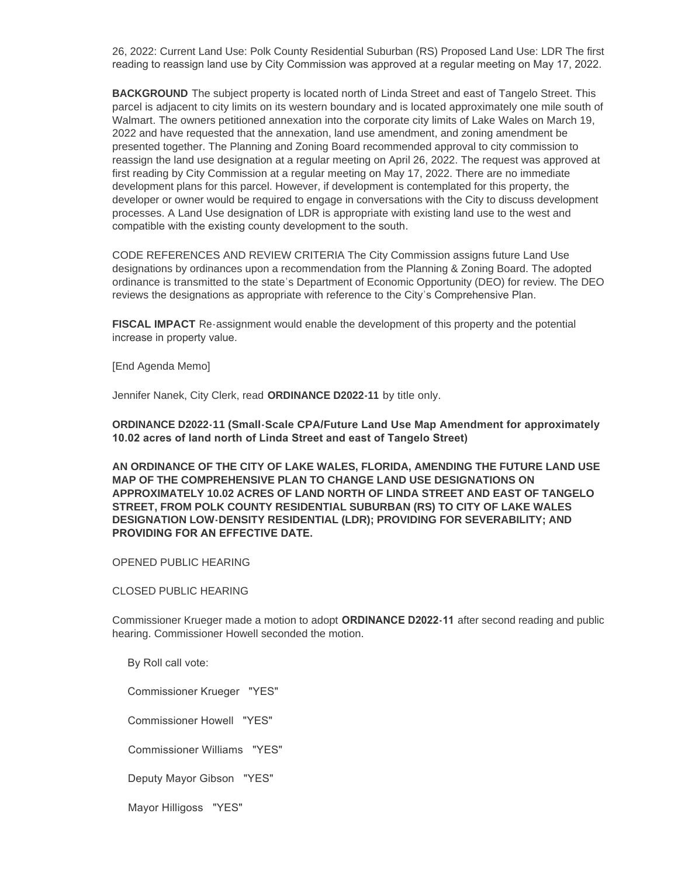26, 2022: Current Land Use: Polk County Residential Suburban (RS) Proposed Land Use: LDR The first reading to reassign land use by City Commission was approved at a regular meeting on May 17, 2022.

**BACKGROUND** The subject property is located north of Linda Street and east of Tangelo Street. This parcel is adjacent to city limits on its western boundary and is located approximately one mile south of Walmart. The owners petitioned annexation into the corporate city limits of Lake Wales on March 19, 2022 and have requested that the annexation, land use amendment, and zoning amendment be presented together. The Planning and Zoning Board recommended approval to city commission to reassign the land use designation at a regular meeting on April 26, 2022. The request was approved at first reading by City Commission at a regular meeting on May 17, 2022. There are no immediate development plans for this parcel. However, if development is contemplated for this property, the developer or owner would be required to engage in conversations with the City to discuss development processes. A Land Use designation of LDR is appropriate with existing land use to the west and compatible with the existing county development to the south.

CODE REFERENCES AND REVIEW CRITERIA The City Commission assigns future Land Use designations by ordinances upon a recommendation from the Planning & Zoning Board. The adopted ordinance is transmitted to the state's Department of Economic Opportunity (DEO) for review. The DEO reviews the designations as appropriate with reference to the City's Comprehensive Plan.

**FISCAL IMPACT** Re-assignment would enable the development of this property and the potential increase in property value.

[End Agenda Memo]

Jennifer Nanek, City Clerk, read **ORDINANCE D2022-11** by title only.

**ORDINANCE D2022-11 (Small-Scale CPA/Future Land Use Map Amendment for approximately 10.02 acres of land north of Linda Street and east of Tangelo Street)** 

**AN ORDINANCE OF THE CITY OF LAKE WALES, FLORIDA, AMENDING THE FUTURE LAND USE MAP OF THE COMPREHENSIVE PLAN TO CHANGE LAND USE DESIGNATIONS ON APPROXIMATELY 10.02 ACRES OF LAND NORTH OF LINDA STREET AND EAST OF TANGELO STREET, FROM POLK COUNTY RESIDENTIAL SUBURBAN (RS) TO CITY OF LAKE WALES DESIGNATION LOW-DENSITY RESIDENTIAL (LDR); PROVIDING FOR SEVERABILITY; AND PROVIDING FOR AN EFFECTIVE DATE.** 

OPENED PUBLIC HEARING

CLOSED PUBLIC HEARING

Commissioner Krueger made a motion to adopt **ORDINANCE D2022-11** after second reading and public hearing. Commissioner Howell seconded the motion.

By Roll call vote:

Commissioner Krueger "YES"

Commissioner Howell "YES"

Commissioner Williams "YES"

Deputy Mayor Gibson "YES"

Mayor Hilligoss "YES"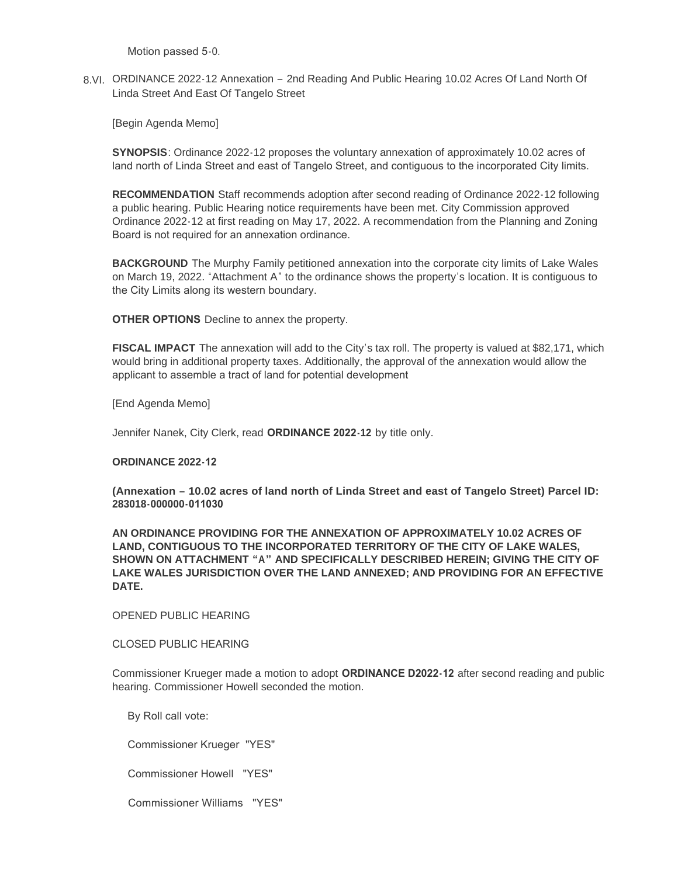Motion passed 5-0.

8.VI. ORDINANCE 2022-12 Annexation - 2nd Reading And Public Hearing 10.02 Acres Of Land North Of Linda Street And East Of Tangelo Street

[Begin Agenda Memo]

**SYNOPSIS**: Ordinance 2022-12 proposes the voluntary annexation of approximately 10.02 acres of land north of Linda Street and east of Tangelo Street, and contiguous to the incorporated City limits.

**RECOMMENDATION** Staff recommends adoption after second reading of Ordinance 2022-12 following a public hearing. Public Hearing notice requirements have been met. City Commission approved Ordinance 2022-12 at first reading on May 17, 2022. A recommendation from the Planning and Zoning Board is not required for an annexation ordinance.

**BACKGROUND** The Murphy Family petitioned annexation into the corporate city limits of Lake Wales on March 19, 2022. "Attachment A" to the ordinance shows the property's location. It is contiguous to the City Limits along its western boundary.

**OTHER OPTIONS** Decline to annex the property.

**FISCAL IMPACT** The annexation will add to the City's tax roll. The property is valued at \$82,171, which would bring in additional property taxes. Additionally, the approval of the annexation would allow the applicant to assemble a tract of land for potential development

[End Agenda Memo]

Jennifer Nanek, City Clerk, read **ORDINANCE 2022-12** by title only.

#### **ORDINANCE 2022-12**

**(Annexation – 10.02 acres of land north of Linda Street and east of Tangelo Street) Parcel ID: 283018-000000-011030** 

**AN ORDINANCE PROVIDING FOR THE ANNEXATION OF APPROXIMATELY 10.02 ACRES OF LAND, CONTIGUOUS TO THE INCORPORATED TERRITORY OF THE CITY OF LAKE WALES, SHOWN ON ATTACHMENT "A" AND SPECIFICALLY DESCRIBED HEREIN; GIVING THE CITY OF LAKE WALES JURISDICTION OVER THE LAND ANNEXED; AND PROVIDING FOR AN EFFECTIVE DATE.**

OPENED PUBLIC HEARING

CLOSED PUBLIC HEARING

Commissioner Krueger made a motion to adopt **ORDINANCE D2022-12** after second reading and public hearing. Commissioner Howell seconded the motion.

By Roll call vote:

Commissioner Krueger "YES"

Commissioner Howell "YES"

Commissioner Williams "YES"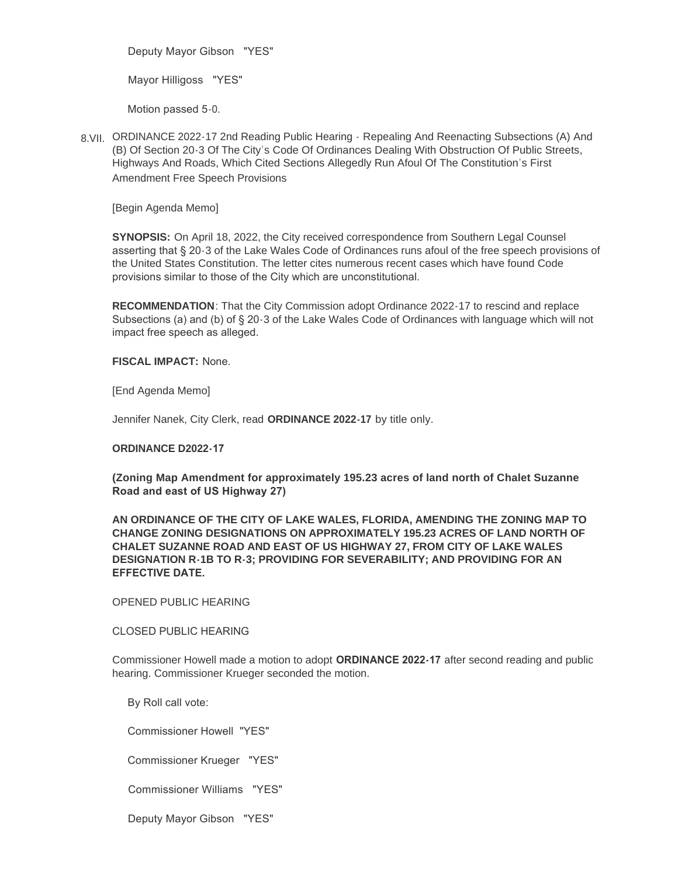Deputy Mayor Gibson "YES"

Mayor Hilligoss "YES"

Motion passed 5-0.

8.VII. ORDINANCE 2022-17 2nd Reading Public Hearing - Repealing And Reenacting Subsections (A) And (B) Of Section 20-3 Of The City's Code Of Ordinances Dealing With Obstruction Of Public Streets, Highways And Roads, Which Cited Sections Allegedly Run Afoul Of The Constitution's First Amendment Free Speech Provisions

[Begin Agenda Memo]

**SYNOPSIS:** On April 18, 2022, the City received correspondence from Southern Legal Counsel asserting that § 20-3 of the Lake Wales Code of Ordinances runs afoul of the free speech provisions of the United States Constitution. The letter cites numerous recent cases which have found Code provisions similar to those of the City which are unconstitutional.

**RECOMMENDATION**: That the City Commission adopt Ordinance 2022-17 to rescind and replace Subsections (a) and (b) of § 20-3 of the Lake Wales Code of Ordinances with language which will not impact free speech as alleged.

**FISCAL IMPACT:** None.

[End Agenda Memo]

Jennifer Nanek, City Clerk, read **ORDINANCE 2022-17** by title only.

### **ORDINANCE D2022-17**

**(Zoning Map Amendment for approximately 195.23 acres of land north of Chalet Suzanne Road and east of US Highway 27)** 

**AN ORDINANCE OF THE CITY OF LAKE WALES, FLORIDA, AMENDING THE ZONING MAP TO CHANGE ZONING DESIGNATIONS ON APPROXIMATELY 195.23 ACRES OF LAND NORTH OF CHALET SUZANNE ROAD AND EAST OF US HIGHWAY 27, FROM CITY OF LAKE WALES DESIGNATION R-1B TO R-3; PROVIDING FOR SEVERABILITY; AND PROVIDING FOR AN EFFECTIVE DATE.** 

OPENED PUBLIC HEARING

CLOSED PUBLIC HEARING

Commissioner Howell made a motion to adopt **ORDINANCE 2022-17** after second reading and public hearing. Commissioner Krueger seconded the motion.

By Roll call vote:

Commissioner Howell "YES"

Commissioner Krueger "YES"

Commissioner Williams "YES"

Deputy Mayor Gibson "YES"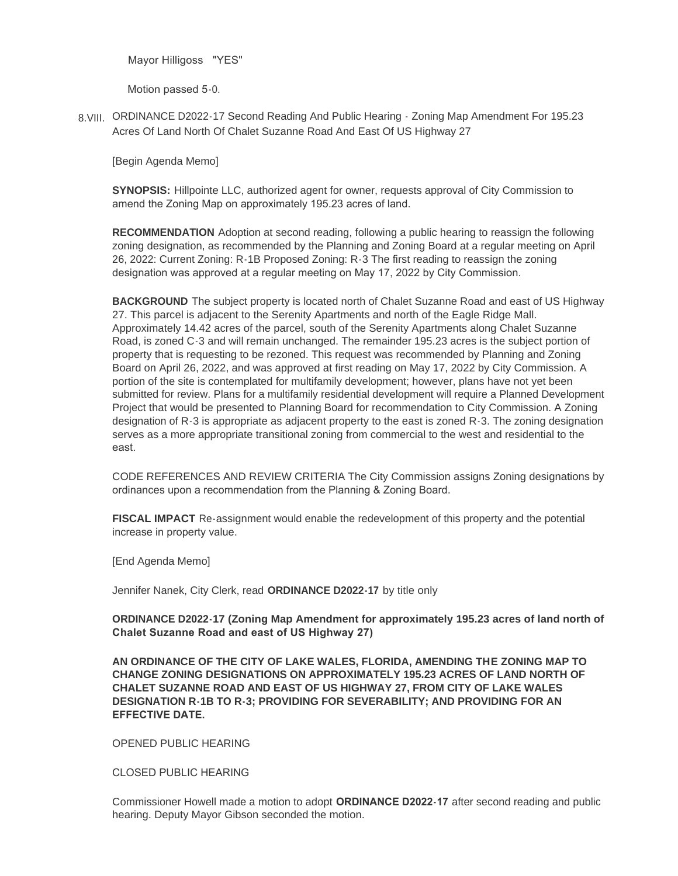Mayor Hilligoss "YES"

Motion passed 5-0.

8. VIII. ORDINANCE D2022-17 Second Reading And Public Hearing - Zoning Map Amendment For 195.23 Acres Of Land North Of Chalet Suzanne Road And East Of US Highway 27

[Begin Agenda Memo]

**SYNOPSIS:** Hillpointe LLC, authorized agent for owner, requests approval of City Commission to amend the Zoning Map on approximately 195.23 acres of land.

**RECOMMENDATION** Adoption at second reading, following a public hearing to reassign the following zoning designation, as recommended by the Planning and Zoning Board at a regular meeting on April 26, 2022: Current Zoning: R-1B Proposed Zoning: R-3 The first reading to reassign the zoning designation was approved at a regular meeting on May 17, 2022 by City Commission.

**BACKGROUND** The subject property is located north of Chalet Suzanne Road and east of US Highway 27. This parcel is adjacent to the Serenity Apartments and north of the Eagle Ridge Mall. Approximately 14.42 acres of the parcel, south of the Serenity Apartments along Chalet Suzanne Road, is zoned C-3 and will remain unchanged. The remainder 195.23 acres is the subject portion of property that is requesting to be rezoned. This request was recommended by Planning and Zoning Board on April 26, 2022, and was approved at first reading on May 17, 2022 by City Commission. A portion of the site is contemplated for multifamily development; however, plans have not yet been submitted for review. Plans for a multifamily residential development will require a Planned Development Project that would be presented to Planning Board for recommendation to City Commission. A Zoning designation of R-3 is appropriate as adjacent property to the east is zoned R-3. The zoning designation serves as a more appropriate transitional zoning from commercial to the west and residential to the east.

CODE REFERENCES AND REVIEW CRITERIA The City Commission assigns Zoning designations by ordinances upon a recommendation from the Planning & Zoning Board.

**FISCAL IMPACT** Re-assignment would enable the redevelopment of this property and the potential increase in property value.

[End Agenda Memo]

Jennifer Nanek, City Clerk, read **ORDINANCE D2022-17** by title only

**ORDINANCE D2022-17 (Zoning Map Amendment for approximately 195.23 acres of land north of Chalet Suzanne Road and east of US Highway 27)** 

**AN ORDINANCE OF THE CITY OF LAKE WALES, FLORIDA, AMENDING THE ZONING MAP TO CHANGE ZONING DESIGNATIONS ON APPROXIMATELY 195.23 ACRES OF LAND NORTH OF CHALET SUZANNE ROAD AND EAST OF US HIGHWAY 27, FROM CITY OF LAKE WALES DESIGNATION R-1B TO R-3; PROVIDING FOR SEVERABILITY; AND PROVIDING FOR AN EFFECTIVE DATE.** 

OPENED PUBLIC HEARING

CLOSED PUBLIC HEARING

Commissioner Howell made a motion to adopt **ORDINANCE D2022-17** after second reading and public hearing. Deputy Mayor Gibson seconded the motion.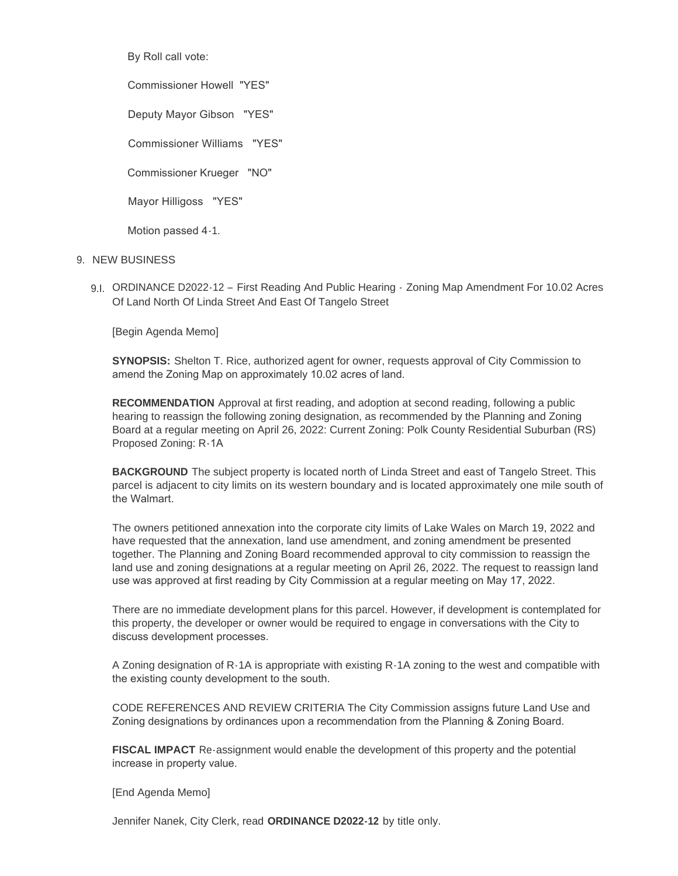By Roll call vote:

Commissioner Howell "YES"

Deputy Mayor Gibson "YES"

Commissioner Williams "YES"

Commissioner Krueger "NO"

Mayor Hilligoss "YES"

Motion passed 4-1.

# 9. NEW BUSINESS

9.I. ORDINANCE D2022-12 - First Reading And Public Hearing - Zoning Map Amendment For 10.02 Acres Of Land North Of Linda Street And East Of Tangelo Street

[Begin Agenda Memo]

**SYNOPSIS:** Shelton T. Rice, authorized agent for owner, requests approval of City Commission to amend the Zoning Map on approximately 10.02 acres of land.

**RECOMMENDATION** Approval at first reading, and adoption at second reading, following a public hearing to reassign the following zoning designation, as recommended by the Planning and Zoning Board at a regular meeting on April 26, 2022: Current Zoning: Polk County Residential Suburban (RS) Proposed Zoning: R-1A

**BACKGROUND** The subject property is located north of Linda Street and east of Tangelo Street. This parcel is adjacent to city limits on its western boundary and is located approximately one mile south of the Walmart.

The owners petitioned annexation into the corporate city limits of Lake Wales on March 19, 2022 and have requested that the annexation, land use amendment, and zoning amendment be presented together. The Planning and Zoning Board recommended approval to city commission to reassign the land use and zoning designations at a regular meeting on April 26, 2022. The request to reassign land use was approved at first reading by City Commission at a regular meeting on May 17, 2022.

There are no immediate development plans for this parcel. However, if development is contemplated for this property, the developer or owner would be required to engage in conversations with the City to discuss development processes.

A Zoning designation of R-1A is appropriate with existing R-1A zoning to the west and compatible with the existing county development to the south.

CODE REFERENCES AND REVIEW CRITERIA The City Commission assigns future Land Use and Zoning designations by ordinances upon a recommendation from the Planning & Zoning Board.

**FISCAL IMPACT** Re-assignment would enable the development of this property and the potential increase in property value.

[End Agenda Memo]

Jennifer Nanek, City Clerk, read **ORDINANCE D2022-12** by title only.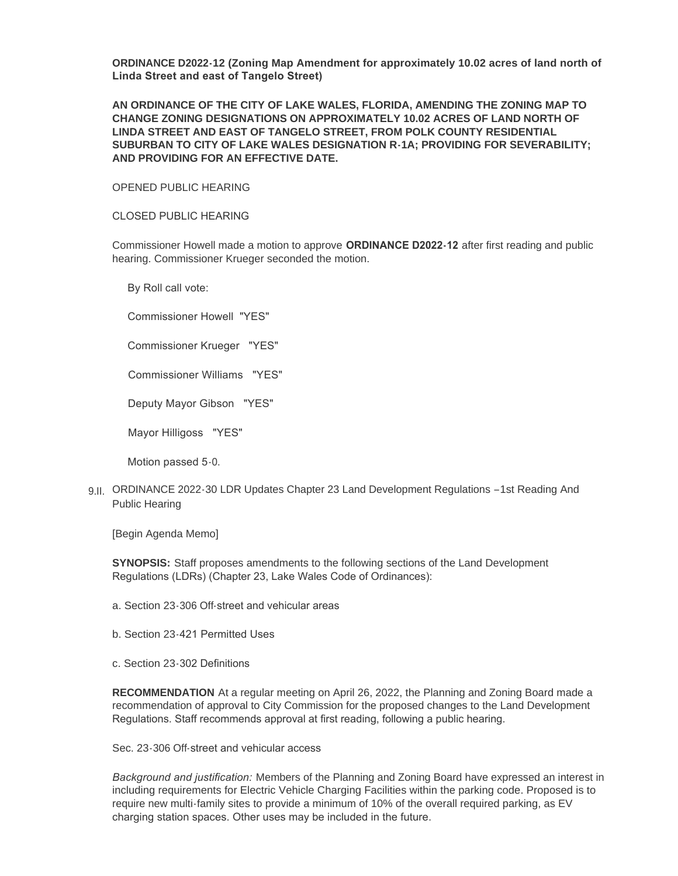**ORDINANCE D2022-12 (Zoning Map Amendment for approximately 10.02 acres of land north of Linda Street and east of Tangelo Street)** 

**AN ORDINANCE OF THE CITY OF LAKE WALES, FLORIDA, AMENDING THE ZONING MAP TO CHANGE ZONING DESIGNATIONS ON APPROXIMATELY 10.02 ACRES OF LAND NORTH OF LINDA STREET AND EAST OF TANGELO STREET, FROM POLK COUNTY RESIDENTIAL SUBURBAN TO CITY OF LAKE WALES DESIGNATION R-1A; PROVIDING FOR SEVERABILITY; AND PROVIDING FOR AN EFFECTIVE DATE.**

OPENED PUBLIC HEARING

CLOSED PUBLIC HEARING

Commissioner Howell made a motion to approve **ORDINANCE D2022-12** after first reading and public hearing. Commissioner Krueger seconded the motion.

By Roll call vote:

Commissioner Howell "YES"

Commissioner Krueger "YES"

Commissioner Williams "YES"

Deputy Mayor Gibson "YES"

Mayor Hilligoss "YES"

Motion passed 5-0.

9.II. ORDINANCE 2022-30 LDR Updates Chapter 23 Land Development Regulations -1st Reading And Public Hearing

[Begin Agenda Memo]

**SYNOPSIS:** Staff proposes amendments to the following sections of the Land Development Regulations (LDRs) (Chapter 23, Lake Wales Code of Ordinances):

- a. Section 23-306 Off-street and vehicular areas
- b. Section 23-421 Permitted Uses
- c. Section 23-302 Definitions

**RECOMMENDATION** At a regular meeting on April 26, 2022, the Planning and Zoning Board made a recommendation of approval to City Commission for the proposed changes to the Land Development Regulations. Staff recommends approval at first reading, following a public hearing.

Sec. 23-306 Off-street and vehicular access

*Background and justification:* Members of the Planning and Zoning Board have expressed an interest in including requirements for Electric Vehicle Charging Facilities within the parking code. Proposed is to require new multi-family sites to provide a minimum of 10% of the overall required parking, as EV charging station spaces. Other uses may be included in the future.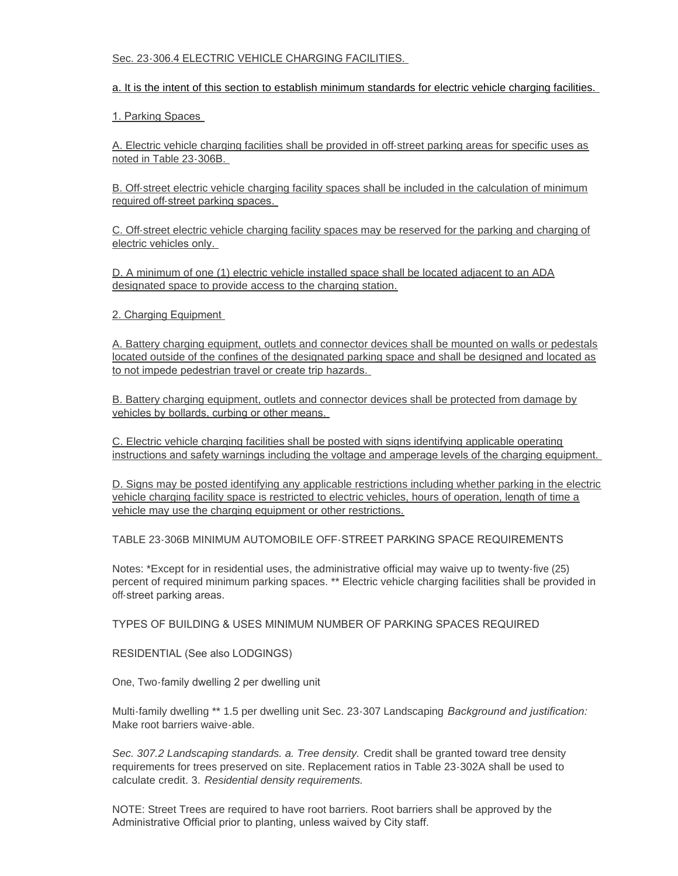# Sec. 23-306.4 ELECTRIC VEHICLE CHARGING FACILITIES.

# a. It is the intent of this section to establish minimum standards for electric vehicle charging facilities.

# 1. Parking Spaces

A. Electric vehicle charging facilities shall be provided in off-street parking areas for specific uses as noted in Table 23-306B.

B. Off-street electric vehicle charging facility spaces shall be included in the calculation of minimum required off-street parking spaces.

C. Off-street electric vehicle charging facility spaces may be reserved for the parking and charging of electric vehicles only.

D. A minimum of one (1) electric vehicle installed space shall be located adjacent to an ADA designated space to provide access to the charging station.

# 2. Charging Equipment

A. Battery charging equipment, outlets and connector devices shall be mounted on walls or pedestals located outside of the confines of the designated parking space and shall be designed and located as to not impede pedestrian travel or create trip hazards.

B. Battery charging equipment, outlets and connector devices shall be protected from damage by vehicles by bollards, curbing or other means.

C. Electric vehicle charging facilities shall be posted with signs identifying applicable operating instructions and safety warnings including the voltage and amperage levels of the charging equipment.

D. Signs may be posted identifying any applicable restrictions including whether parking in the electric vehicle charging facility space is restricted to electric vehicles, hours of operation, length of time a vehicle may use the charging equipment or other restrictions.

TABLE 23-306B MINIMUM AUTOMOBILE OFF-STREET PARKING SPACE REQUIREMENTS

Notes: \*Except for in residential uses, the administrative official may waive up to twenty-five (25) percent of required minimum parking spaces. \*\* Electric vehicle charging facilities shall be provided in off-street parking areas.

TYPES OF BUILDING & USES MINIMUM NUMBER OF PARKING SPACES REQUIRED

RESIDENTIAL (See also LODGINGS)

One, Two-family dwelling 2 per dwelling unit

Multi-family dwelling \*\* 1.5 per dwelling unit Sec. 23-307 Landscaping *Background and justification:* Make root barriers waive-able.

*Sec. 307.2 Landscaping standards. a. Tree density.* Credit shall be granted toward tree density requirements for trees preserved on site. Replacement ratios in Table 23-302A shall be used to calculate credit. 3. *Residential density requirements.*

NOTE: Street Trees are required to have root barriers. Root barriers shall be approved by the Administrative Official prior to planting, unless waived by City staff.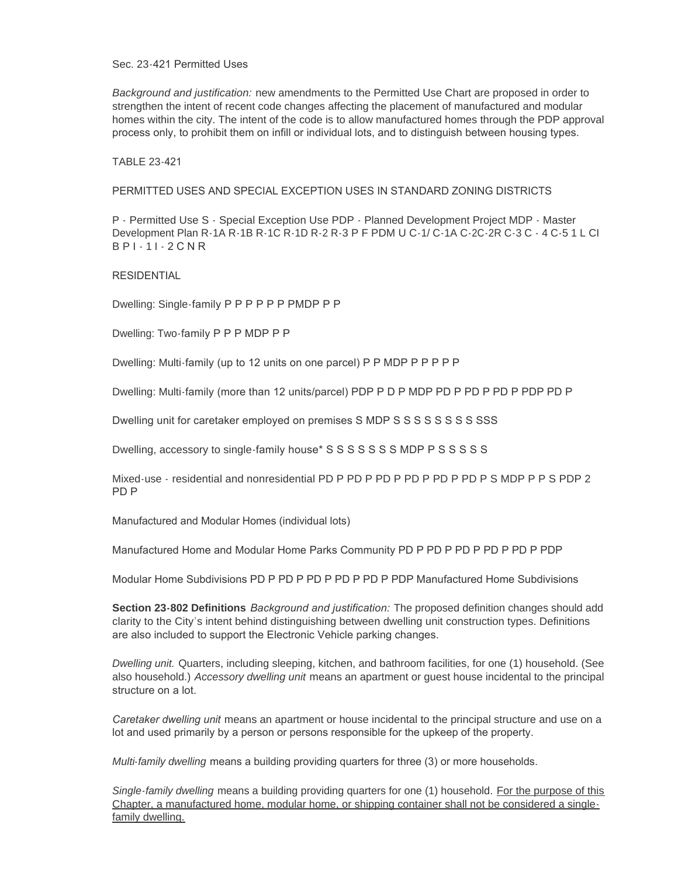Sec. 23-421 Permitted Uses

*Background and justification:* new amendments to the Permitted Use Chart are proposed in order to strengthen the intent of recent code changes affecting the placement of manufactured and modular homes within the city. The intent of the code is to allow manufactured homes through the PDP approval process only, to prohibit them on infill or individual lots, and to distinguish between housing types.

TABLE 23-421

PERMITTED USES AND SPECIAL EXCEPTION USES IN STANDARD ZONING DISTRICTS

P - Permitted Use S - Special Exception Use PDP - Planned Development Project MDP - Master Development Plan R-1A R-1B R-1C R-1D R-2 R-3 P F PDM U C-1/ C-1A C-2C-2R C-3 C - 4 C-5 1 L CI B P I - 1 I - 2 C N R

**RESIDENTIAL** 

Dwelling: Single-family P P P P P P PMDP P P

Dwelling: Two-family P P P MDP P P

Dwelling: Multi-family (up to 12 units on one parcel) P P MDP P P P P P

Dwelling: Multi-family (more than 12 units/parcel) PDP P D P MDP PD P PD P PD P PDP PD P

Dwelling unit for caretaker employed on premises S MDP S S S S S S S S S SSS

Dwelling, accessory to single-family house\* S S S S S S S MDP P S S S S S

Mixed-use - residential and nonresidential PD P PD P PD P PD P PD P PD P S MDP P P S PDP 2 PD P

Manufactured and Modular Homes (individual lots)

Manufactured Home and Modular Home Parks Community PD P PD P PD P PD P PD P PDP

Modular Home Subdivisions PD P PD P PD P PD P PD P PDP Manufactured Home Subdivisions

**Section 23-802 Definitions** *Background and justification:* The proposed definition changes should add clarity to the City's intent behind distinguishing between dwelling unit construction types. Definitions are also included to support the Electronic Vehicle parking changes.

*Dwelling unit.* Quarters, including sleeping, kitchen, and bathroom facilities, for one (1) household. (See also household.) *Accessory dwelling unit* means an apartment or guest house incidental to the principal structure on a lot.

*Caretaker dwelling unit* means an apartment or house incidental to the principal structure and use on a lot and used primarily by a person or persons responsible for the upkeep of the property.

*Multi-family dwelling* means a building providing quarters for three (3) or more households.

Single-family dwelling means a building providing quarters for one (1) household. For the purpose of this Chapter, a manufactured home, modular home, or shipping container shall not be considered a singlefamily dwelling.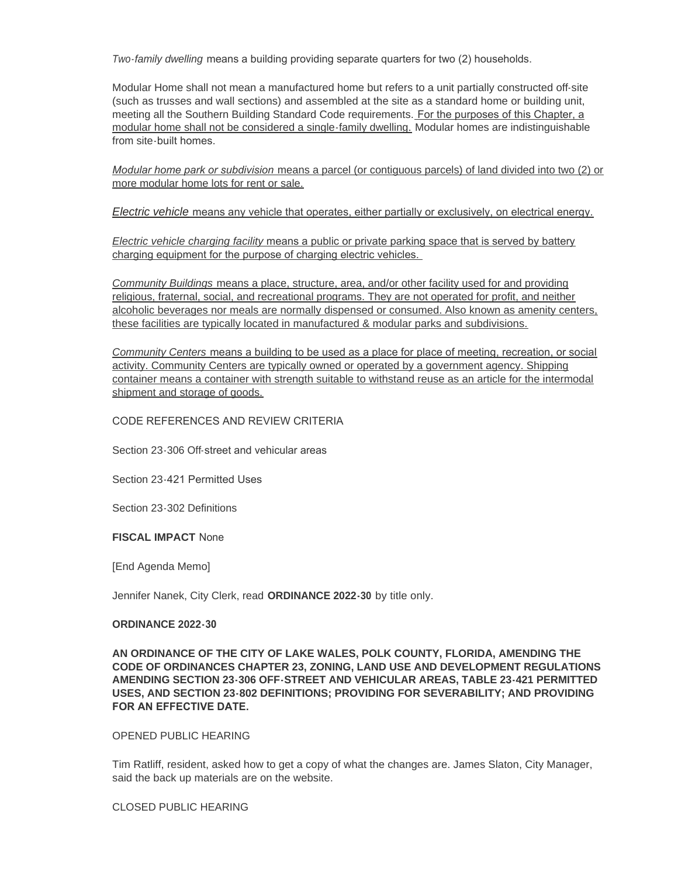*Two-family dwelling* means a building providing separate quarters for two (2) households.

Modular Home shall not mean a manufactured home but refers to a unit partially constructed off-site (such as trusses and wall sections) and assembled at the site as a standard home or building unit, meeting all the Southern Building Standard Code requirements. For the purposes of this Chapter, a modular home shall not be considered a single-family dwelling. Modular homes are indistinguishable from site-built homes.

*Modular home park or subdivision* means a parcel (or contiguous parcels) of land divided into two (2) or more modular home lots for rent or sale.

*Electric vehicle* means any vehicle that operates, either partially or exclusively, on electrical energy.

*Electric vehicle charging facility* means a public or private parking space that is served by battery charging equipment for the purpose of charging electric vehicles.

*Community Buildings* means a place, structure, area, and/or other facility used for and providing religious, fraternal, social, and recreational programs. They are not operated for profit, and neither alcoholic beverages nor meals are normally dispensed or consumed. Also known as amenity centers, these facilities are typically located in manufactured & modular parks and subdivisions.

*Community Centers* means a building to be used as a place for place of meeting, recreation, or social activity. Community Centers are typically owned or operated by a government agency. Shipping container means a container with strength suitable to withstand reuse as an article for the intermodal shipment and storage of goods.

#### CODE REFERENCES AND REVIEW CRITERIA

Section 23-306 Off-street and vehicular areas

Section 23-421 Permitted Uses

Section 23-302 Definitions

#### **FISCAL IMPACT** None

[End Agenda Memo]

Jennifer Nanek, City Clerk, read **ORDINANCE 2022-30** by title only.

#### **ORDINANCE 2022-30**

# **AN ORDINANCE OF THE CITY OF LAKE WALES, POLK COUNTY, FLORIDA, AMENDING THE CODE OF ORDINANCES CHAPTER 23, ZONING, LAND USE AND DEVELOPMENT REGULATIONS AMENDING SECTION 23-306 OFF-STREET AND VEHICULAR AREAS, TABLE 23-421 PERMITTED USES, AND SECTION 23-802 DEFINITIONS; PROVIDING FOR SEVERABILITY; AND PROVIDING FOR AN EFFECTIVE DATE.**

### OPENED PUBLIC HEARING

Tim Ratliff, resident, asked how to get a copy of what the changes are. James Slaton, City Manager, said the back up materials are on the website.

#### CLOSED PUBLIC HEARING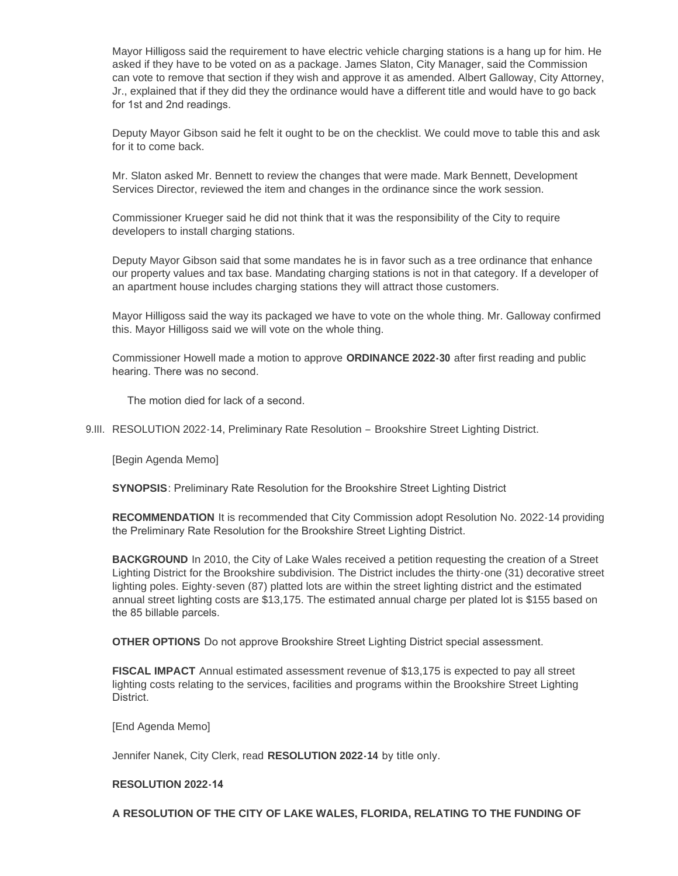Mayor Hilligoss said the requirement to have electric vehicle charging stations is a hang up for him. He asked if they have to be voted on as a package. James Slaton, City Manager, said the Commission can vote to remove that section if they wish and approve it as amended. Albert Galloway, City Attorney, Jr., explained that if they did they the ordinance would have a different title and would have to go back for 1st and 2nd readings.

Deputy Mayor Gibson said he felt it ought to be on the checklist. We could move to table this and ask for it to come back.

Mr. Slaton asked Mr. Bennett to review the changes that were made. Mark Bennett, Development Services Director, reviewed the item and changes in the ordinance since the work session.

Commissioner Krueger said he did not think that it was the responsibility of the City to require developers to install charging stations.

Deputy Mayor Gibson said that some mandates he is in favor such as a tree ordinance that enhance our property values and tax base. Mandating charging stations is not in that category. If a developer of an apartment house includes charging stations they will attract those customers.

Mayor Hilligoss said the way its packaged we have to vote on the whole thing. Mr. Galloway confirmed this. Mayor Hilligoss said we will vote on the whole thing.

Commissioner Howell made a motion to approve **ORDINANCE 2022-30** after first reading and public hearing. There was no second.

The motion died for lack of a second.

9.III. RESOLUTION 2022-14, Preliminary Rate Resolution - Brookshire Street Lighting District.

[Begin Agenda Memo]

**SYNOPSIS**: Preliminary Rate Resolution for the Brookshire Street Lighting District

**RECOMMENDATION** It is recommended that City Commission adopt Resolution No. 2022-14 providing the Preliminary Rate Resolution for the Brookshire Street Lighting District.

**BACKGROUND** In 2010, the City of Lake Wales received a petition requesting the creation of a Street Lighting District for the Brookshire subdivision. The District includes the thirty-one (31) decorative street lighting poles. Eighty-seven (87) platted lots are within the street lighting district and the estimated annual street lighting costs are \$13,175. The estimated annual charge per plated lot is \$155 based on the 85 billable parcels.

**OTHER OPTIONS** Do not approve Brookshire Street Lighting District special assessment.

**FISCAL IMPACT** Annual estimated assessment revenue of \$13,175 is expected to pay all street lighting costs relating to the services, facilities and programs within the Brookshire Street Lighting District.

[End Agenda Memo]

Jennifer Nanek, City Clerk, read **RESOLUTION 2022-14** by title only.

# **RESOLUTION 2022-14**

**A RESOLUTION OF THE CITY OF LAKE WALES, FLORIDA, RELATING TO THE FUNDING OF**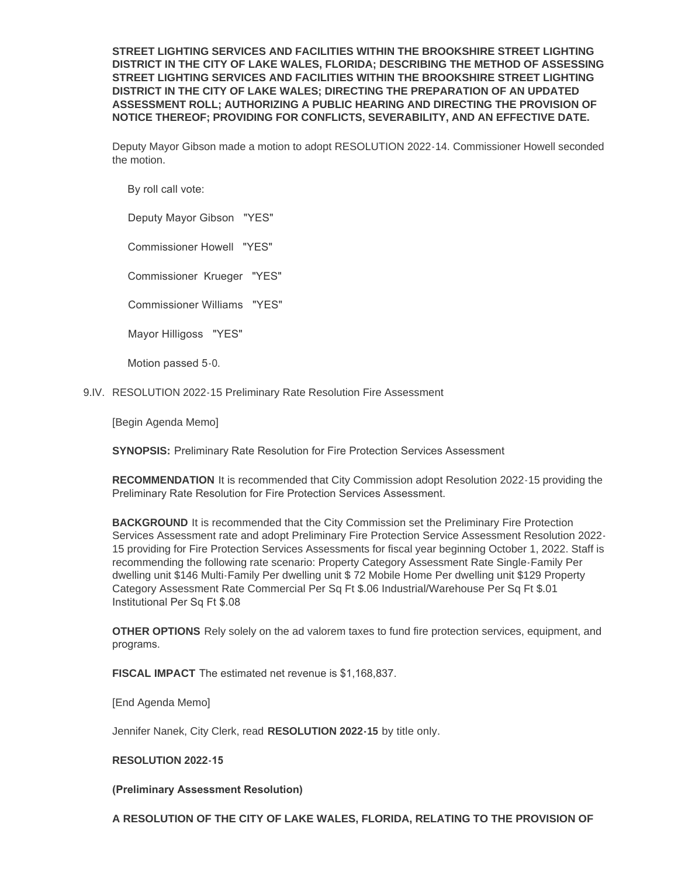**STREET LIGHTING SERVICES AND FACILITIES WITHIN THE BROOKSHIRE STREET LIGHTING DISTRICT IN THE CITY OF LAKE WALES, FLORIDA; DESCRIBING THE METHOD OF ASSESSING STREET LIGHTING SERVICES AND FACILITIES WITHIN THE BROOKSHIRE STREET LIGHTING DISTRICT IN THE CITY OF LAKE WALES; DIRECTING THE PREPARATION OF AN UPDATED ASSESSMENT ROLL; AUTHORIZING A PUBLIC HEARING AND DIRECTING THE PROVISION OF NOTICE THEREOF; PROVIDING FOR CONFLICTS, SEVERABILITY, AND AN EFFECTIVE DATE.**

Deputy Mayor Gibson made a motion to adopt RESOLUTION 2022-14. Commissioner Howell seconded the motion.

By roll call vote:

Deputy Mayor Gibson "YES"

Commissioner Howell "YES"

Commissioner Krueger "YES"

Commissioner Williams "YES"

Mayor Hilligoss "YES"

Motion passed 5-0.

9.IV. RESOLUTION 2022-15 Preliminary Rate Resolution Fire Assessment

[Begin Agenda Memo]

**SYNOPSIS:** Preliminary Rate Resolution for Fire Protection Services Assessment

**RECOMMENDATION** It is recommended that City Commission adopt Resolution 2022-15 providing the Preliminary Rate Resolution for Fire Protection Services Assessment.

**BACKGROUND** It is recommended that the City Commission set the Preliminary Fire Protection Services Assessment rate and adopt Preliminary Fire Protection Service Assessment Resolution 2022- 15 providing for Fire Protection Services Assessments for fiscal year beginning October 1, 2022. Staff is recommending the following rate scenario: Property Category Assessment Rate Single-Family Per dwelling unit \$146 Multi-Family Per dwelling unit \$ 72 Mobile Home Per dwelling unit \$129 Property Category Assessment Rate Commercial Per Sq Ft \$.06 Industrial/Warehouse Per Sq Ft \$.01 Institutional Per Sq Ft \$.08

**OTHER OPTIONS** Rely solely on the ad valorem taxes to fund fire protection services, equipment, and programs.

**FISCAL IMPACT** The estimated net revenue is \$1,168,837.

[End Agenda Memo]

Jennifer Nanek, City Clerk, read **RESOLUTION 2022-15** by title only.

# **RESOLUTION 2022-15**

**(Preliminary Assessment Resolution)** 

**A RESOLUTION OF THE CITY OF LAKE WALES, FLORIDA, RELATING TO THE PROVISION OF**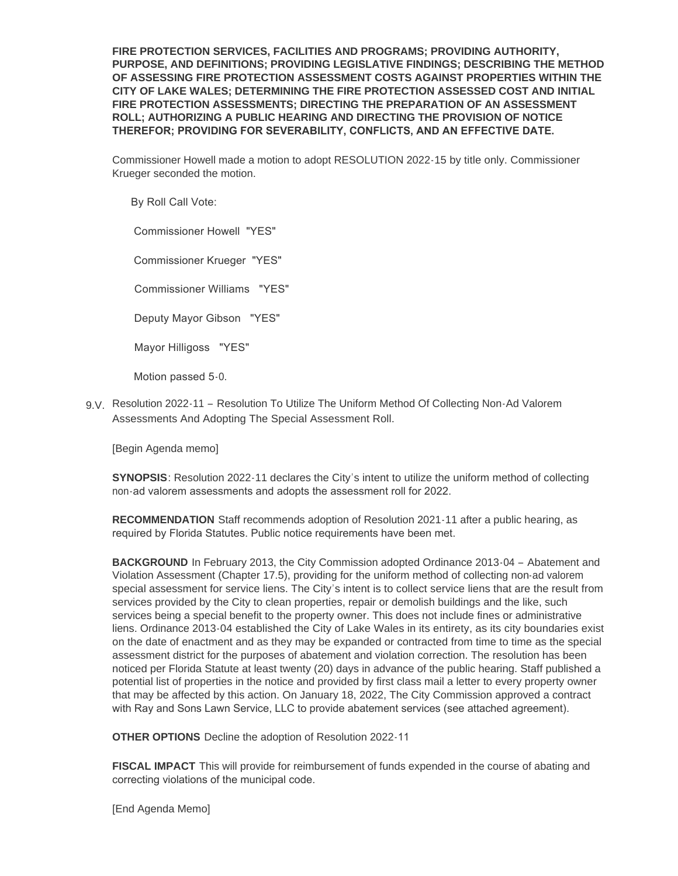**FIRE PROTECTION SERVICES, FACILITIES AND PROGRAMS; PROVIDING AUTHORITY, PURPOSE, AND DEFINITIONS; PROVIDING LEGISLATIVE FINDINGS; DESCRIBING THE METHOD OF ASSESSING FIRE PROTECTION ASSESSMENT COSTS AGAINST PROPERTIES WITHIN THE CITY OF LAKE WALES; DETERMINING THE FIRE PROTECTION ASSESSED COST AND INITIAL FIRE PROTECTION ASSESSMENTS; DIRECTING THE PREPARATION OF AN ASSESSMENT ROLL; AUTHORIZING A PUBLIC HEARING AND DIRECTING THE PROVISION OF NOTICE THEREFOR; PROVIDING FOR SEVERABILITY, CONFLICTS, AND AN EFFECTIVE DATE.** 

Commissioner Howell made a motion to adopt RESOLUTION 2022-15 by title only. Commissioner Krueger seconded the motion.

By Roll Call Vote:

Commissioner Howell "YES"

Commissioner Krueger "YES"

Commissioner Williams "YES"

Deputy Mayor Gibson "YES"

Mayor Hilligoss "YES"

Motion passed 5-0.

9.V. Resolution 2022-11 - Resolution To Utilize The Uniform Method Of Collecting Non-Ad Valorem Assessments And Adopting The Special Assessment Roll.

[Begin Agenda memo]

**SYNOPSIS**: Resolution 2022-11 declares the City's intent to utilize the uniform method of collecting non-ad valorem assessments and adopts the assessment roll for 2022.

**RECOMMENDATION** Staff recommends adoption of Resolution 2021-11 after a public hearing, as required by Florida Statutes. Public notice requirements have been met.

**BACKGROUND** In February 2013, the City Commission adopted Ordinance 2013-04 – Abatement and Violation Assessment (Chapter 17.5), providing for the uniform method of collecting non-ad valorem special assessment for service liens. The City's intent is to collect service liens that are the result from services provided by the City to clean properties, repair or demolish buildings and the like, such services being a special benefit to the property owner. This does not include fines or administrative liens. Ordinance 2013-04 established the City of Lake Wales in its entirety, as its city boundaries exist on the date of enactment and as they may be expanded or contracted from time to time as the special assessment district for the purposes of abatement and violation correction. The resolution has been noticed per Florida Statute at least twenty (20) days in advance of the public hearing. Staff published a potential list of properties in the notice and provided by first class mail a letter to every property owner that may be affected by this action. On January 18, 2022, The City Commission approved a contract with Ray and Sons Lawn Service, LLC to provide abatement services (see attached agreement).

**OTHER OPTIONS** Decline the adoption of Resolution 2022-11

**FISCAL IMPACT** This will provide for reimbursement of funds expended in the course of abating and correcting violations of the municipal code.

[End Agenda Memo]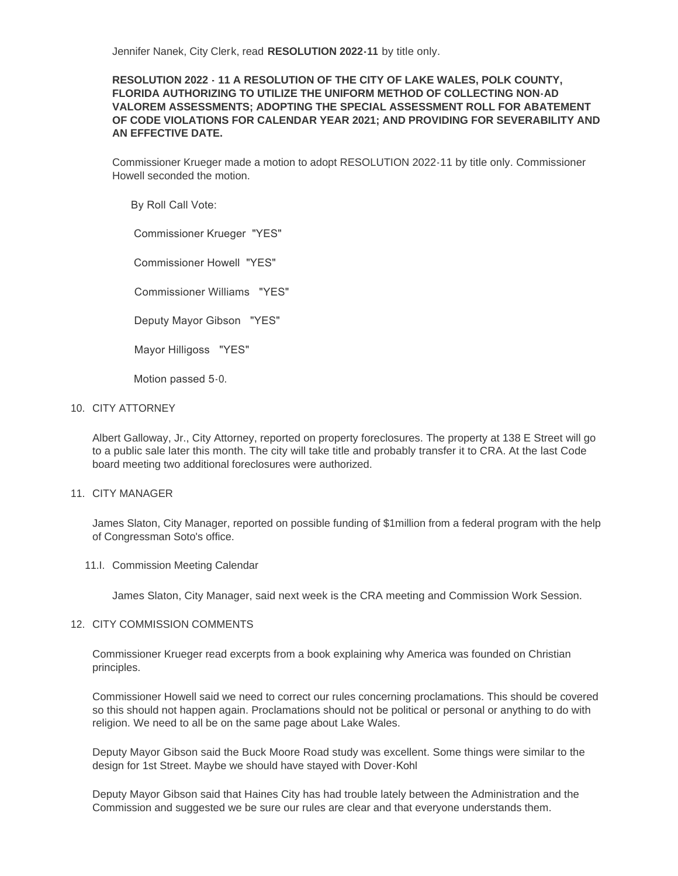Jennifer Nanek, City Clerk, read **RESOLUTION 2022-11** by title only.

# **RESOLUTION 2022 - 11 A RESOLUTION OF THE CITY OF LAKE WALES, POLK COUNTY, FLORIDA AUTHORIZING TO UTILIZE THE UNIFORM METHOD OF COLLECTING NON-AD VALOREM ASSESSMENTS; ADOPTING THE SPECIAL ASSESSMENT ROLL FOR ABATEMENT OF CODE VIOLATIONS FOR CALENDAR YEAR 2021; AND PROVIDING FOR SEVERABILITY AND AN EFFECTIVE DATE.**

Commissioner Krueger made a motion to adopt RESOLUTION 2022-11 by title only. Commissioner Howell seconded the motion.

By Roll Call Vote:

Commissioner Krueger "YES"

Commissioner Howell "YES"

Commissioner Williams "YES"

Deputy Mayor Gibson "YES"

Mayor Hilligoss "YES"

Motion passed 5-0.

### 10. CITY ATTORNEY

Albert Galloway, Jr., City Attorney, reported on property foreclosures. The property at 138 E Street will go to a public sale later this month. The city will take title and probably transfer it to CRA. At the last Code board meeting two additional foreclosures were authorized.

#### 11. CITY MANAGER

James Slaton, City Manager, reported on possible funding of \$1million from a federal program with the help of Congressman Soto's office.

11.I. Commission Meeting Calendar

James Slaton, City Manager, said next week is the CRA meeting and Commission Work Session.

#### 12. CITY COMMISSION COMMENTS

Commissioner Krueger read excerpts from a book explaining why America was founded on Christian principles.

Commissioner Howell said we need to correct our rules concerning proclamations. This should be covered so this should not happen again. Proclamations should not be political or personal or anything to do with religion. We need to all be on the same page about Lake Wales.

Deputy Mayor Gibson said the Buck Moore Road study was excellent. Some things were similar to the design for 1st Street. Maybe we should have stayed with Dover-Kohl

Deputy Mayor Gibson said that Haines City has had trouble lately between the Administration and the Commission and suggested we be sure our rules are clear and that everyone understands them.